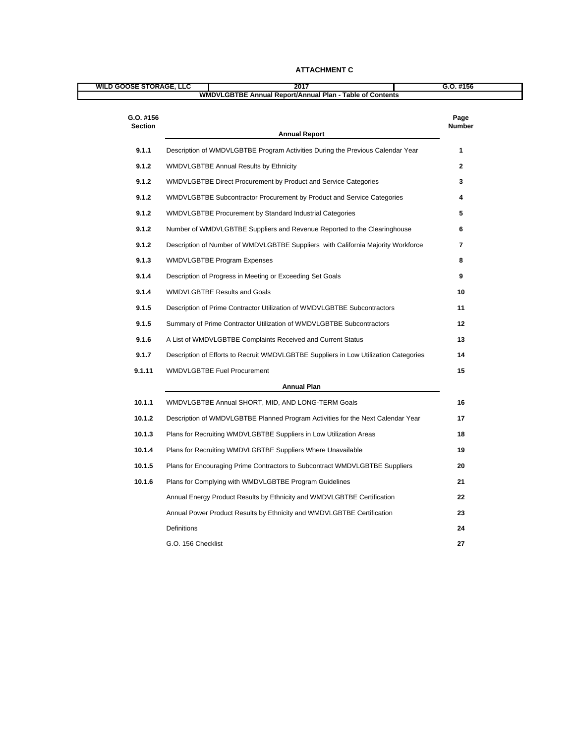| <b>WILD GOOSE STORAGE, LLC</b> |                                                                                        |               |
|--------------------------------|----------------------------------------------------------------------------------------|---------------|
|                                | 2017<br>WMDVLGBTBE Annual Report/Annual Plan - Table of Contents                       | $G.0.$ #156   |
|                                |                                                                                        |               |
| G.O. #156                      |                                                                                        | Page          |
| Section                        | <b>Annual Report</b>                                                                   | <b>Number</b> |
| 9.1.1                          | Description of WMDVLGBTBE Program Activities During the Previous Calendar Year         |               |
| 9.1.2                          | WMDVLGBTBE Annual Results by Ethnicity                                                 |               |
| 9.1.2                          | WMDVLGBTBE Direct Procurement by Product and Service Categories                        |               |
| 9.1.2                          | WMDVLGBTBE Subcontractor Procurement by Product and Service Categories                 |               |
| 9.1.2                          | WMDVLGBTBE Procurement by Standard Industrial Categories                               |               |
| 9.1.2                          | Number of WMDVLGBTBE Suppliers and Revenue Reported to the Clearinghouse               |               |
| 9.1.2                          | Description of Number of WMDVLGBTBE Suppliers with California Majority Workforce       |               |
| 9.1.3                          | WMDVLGBTBE Program Expenses                                                            |               |
| 9.1.4                          | Description of Progress in Meeting or Exceeding Set Goals                              |               |
| 9.1.4                          | <b>WMDVLGBTBE Results and Goals</b>                                                    |               |
| 9.1.5                          | Description of Prime Contractor Utilization of WMDVLGBTBE Subcontractors               | 11            |
| 9.1.5                          | Summary of Prime Contractor Utilization of WMDVLGBTBE Subcontractors                   | 12            |
| 9.1.6                          | A List of WMDVLGBTBE Complaints Received and Current Status                            | 13            |
| 9.1.7                          | Description of Efforts to Recruit WMDVLGBTBE Suppliers in Low Utilization Categories   | 14            |
| 9.1.11                         | <b>WMDVLGBTBE Fuel Procurement</b>                                                     | 15            |
|                                | <b>Annual Plan</b>                                                                     |               |
|                                | WMDVLGBTBE Annual SHORT, MID, AND LONG-TERM Goals                                      | 16            |
| 10.1.1                         | 10.1.2 Description of WMDVLGBTBE Planned Program Activities for the Next Calendar Year | 17            |
|                                | Plans for Recruiting WMDVLGBTBE Suppliers in Low Utilization Areas                     | 18            |
| 10.1.3                         |                                                                                        |               |
|                                | 10.1.4 Plans for Recruiting WMDVLGBTBE Suppliers Where Unavailable                     | 19            |
| 10.1.5                         | Plans for Encouraging Prime Contractors to Subcontract WMDVLGBTBE Suppliers            | 20            |
|                                | 10.1.6 Plans for Complying with WMDVLGBTBE Program Guidelines                          | 21            |
|                                | Annual Energy Product Results by Ethnicity and WMDVLGBTBE Certification                | 22            |
|                                | Annual Power Product Results by Ethnicity and WMDVLGBTBE Certification                 | 23            |
|                                | Definitions                                                                            |               |
|                                | G.O. 156 Checklist                                                                     |               |

#### **ATTACHMENT C**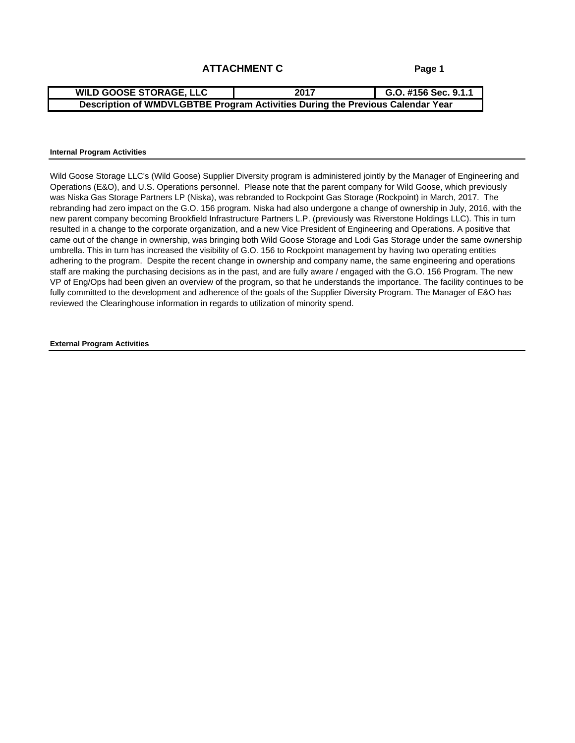### **ATTACHMENT C**

**Page 1**

#### **Internal Program Activities**

Wild Goose Storage LLC's (Wild Goose) Supplier Diversity program is administered jointly by the Manager of Engineering and Operations (E&O), and U.S. Operations personnel. Please note that the parent company for Wild Goose, which previously was Niska Gas Storage Partners LP (Niska), was rebranded to Rockpoint Gas Storage (Rockpoint) in March, 2017. The rebranding had zero impact on the G.O. 156 program. Niska had also undergone a change of ownership in July, 2016, with the new parent company becoming Brookfield Infrastructure Partners L.P. (previously was Riverstone Holdings LLC). This in turn resulted in a change to the corporate organization, and a new Vice President of Engineering and Operations. A positive that came out of the change in ownership, was bringing both Wild Goose Storage and Lodi Gas Storage under the same ownership umbrella. This in turn has increased the visibility of G.O. 156 to Rockpoint management by having two operating entities adhering to the program. Despite the recent change in ownership and company name, the same engineering and operations staff are making the purchasing decisions as in the past, and are fully aware / engaged with the G.O. 156 Program. The new VP of Eng/Ops had been given an overview of the program, so that he understands the importance. The facility continues to be fully committed to the development and adherence of the goals of the Supplier Diversity Program. The Manager of E&O has reviewed the Clearinghouse information in regards to utilization of minority spend.

**External Program Activities**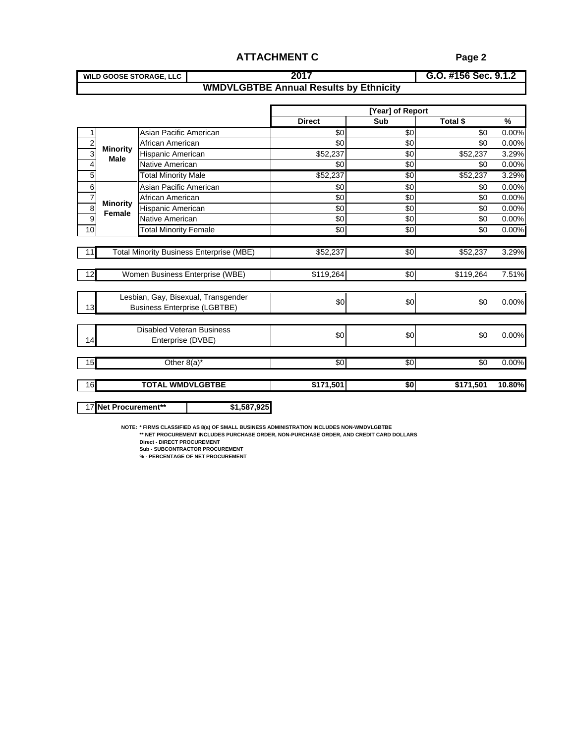| <b>WILD GOOSE STORAGE, LLC</b>                            | $1.4456$ car 0 $\gamma$<br><b>U.U. #130 SEC. 9.1.2</b> |
|-----------------------------------------------------------|--------------------------------------------------------|
| MMDI<br>LGBTBE Annua<br>iual Results bv Ethnicitv<br>,,,, |                                                        |

|    |                        |                                                                                                                                                                                      | <b>ATTACHMENT C</b>                           |                         | Page 2               |                  |
|----|------------------------|--------------------------------------------------------------------------------------------------------------------------------------------------------------------------------------|-----------------------------------------------|-------------------------|----------------------|------------------|
|    |                        | <b>WILD GOOSE STORAGE, LLC</b>                                                                                                                                                       | 2017                                          |                         | G.O. #156 Sec. 9.1.2 |                  |
|    |                        |                                                                                                                                                                                      | <b>WMDVLGBTBE Annual Results by Ethnicity</b> |                         |                      |                  |
|    |                        |                                                                                                                                                                                      |                                               |                         |                      |                  |
|    |                        |                                                                                                                                                                                      | <b>Direct</b>                                 | [Year] of Report<br>Sub | Total \$             | $\%$             |
|    |                        | Asian Pacific American                                                                                                                                                               |                                               |                         |                      | 0.00%            |
|    |                        | African American                                                                                                                                                                     |                                               |                         |                      | 0.00%            |
|    | Minority<br>Male       | Hispanic American                                                                                                                                                                    | \$52,237                                      |                         | \$52,237             | 3.29%            |
|    |                        | Native American                                                                                                                                                                      |                                               |                         |                      | 0.00%<br>ືເ∩∣    |
| —— |                        | <b>Total Minority Male</b>                                                                                                                                                           | \$52,237                                      |                         |                      | \$52,237 3.29%   |
|    |                        | Asian Pacific American                                                                                                                                                               |                                               |                         |                      | _റ ററ'           |
|    | $\frac{1}{2}$ Minority | African American                                                                                                                                                                     |                                               |                         |                      | በ በበ%            |
|    | <b>Female</b>          | Hispanic American                                                                                                                                                                    |                                               |                         |                      | __  በ   በበ%      |
|    |                        | Native American                                                                                                                                                                      |                                               |                         |                      | 0.00%            |
|    |                        | <b>Total Minority Female</b>                                                                                                                                                         |                                               |                         |                      | $$0 0.00\%$      |
|    |                        | Total Minority Business Enterprise (MBE)                                                                                                                                             |                                               |                         |                      | \$52,237 3.29%   |
|    |                        |                                                                                                                                                                                      | \$52,237                                      |                         |                      |                  |
|    |                        | Women Business Enterprise (WBE)                                                                                                                                                      | \$119,264                                     |                         |                      | \$119,264 7.51%  |
|    |                        |                                                                                                                                                                                      |                                               |                         |                      |                  |
|    |                        | Lesbian, Gay, Bisexual, Transgender                                                                                                                                                  |                                               |                         |                      |                  |
|    |                        | <b>Business Enterprise (LGBTBE)</b>                                                                                                                                                  |                                               |                         |                      | 0.00%            |
|    |                        |                                                                                                                                                                                      |                                               |                         |                      |                  |
|    |                        | Disabled Veteran Business                                                                                                                                                            |                                               |                         |                      |                  |
|    |                        | Enterprise (DVBE)                                                                                                                                                                    |                                               |                         |                      | 0.00%            |
|    |                        |                                                                                                                                                                                      |                                               |                         |                      |                  |
|    |                        | Other $8(a)^*$                                                                                                                                                                       | - SOL                                         | - 4301                  |                      | $$0.00\%$        |
|    |                        |                                                                                                                                                                                      |                                               |                         |                      |                  |
|    |                        | <b>TOTAL WMDVLGBTBE</b>                                                                                                                                                              | \$171,501                                     |                         |                      | \$171,501 10.80% |
|    |                        |                                                                                                                                                                                      |                                               |                         |                      |                  |
|    |                        | 17 Net Procurement**                                                                                                                                                                 | \$1,587,925                                   |                         |                      |                  |
|    |                        |                                                                                                                                                                                      |                                               |                         |                      |                  |
|    |                        | NOTE: * FIRMS CLASSIFIED AS 8(a) OF SMALL BUSINESS ADMINISTRATION INCLUDES NON-WMDVLGBTBE<br>** NET PROCUREMENT INCLUDES PURCHASE ORDER, NON-PURCHASE ORDER, AND CREDIT CARD DOLLARS |                                               |                         |                      |                  |
|    |                        | <b>Direct - DIRECT PROCUREMENT</b>                                                                                                                                                   |                                               |                         |                      |                  |
|    |                        | <b>Sub - SUBCONTRACTOR PROCUREMENT</b><br>% - PERCENTAGE OF NET PROCUREMENT                                                                                                          |                                               |                         |                      |                  |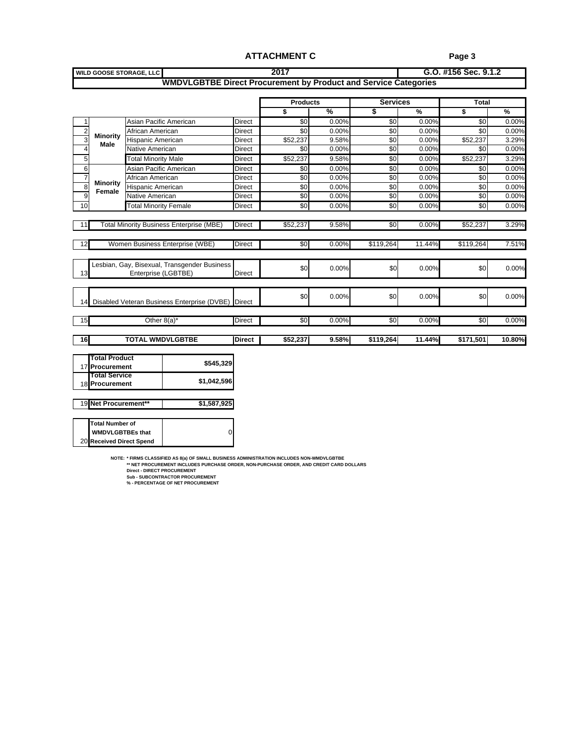|                                                                      | <b>ATTACHMENT C</b>                                                                                                                                                                                                                                          |                                            | Page 3                    |                          |
|----------------------------------------------------------------------|--------------------------------------------------------------------------------------------------------------------------------------------------------------------------------------------------------------------------------------------------------------|--------------------------------------------|---------------------------|--------------------------|
| <b>WILD GOOSE STORAGE, LLC</b>                                       | 2017                                                                                                                                                                                                                                                         |                                            | G.O. #156 Sec. 9.1.2      |                          |
|                                                                      | WMDVLGBTBE Direct Procurement by Product and Service Categories                                                                                                                                                                                              |                                            |                           |                          |
|                                                                      | <b>Products</b>                                                                                                                                                                                                                                              | <b>Services</b>                            | Total                     |                          |
|                                                                      | и мировали му само на при<br>- 555 - 565 - 565 - 565 - 565 - 565 - 565 - 565 - 565 - 565 - 565 - 565 - 565 - 565 - 565 - 565 - 565 - 565 - 565 - 565 - 565 - 565 - 565 - 565 - 565 - 565 - 565 - 565 - 565 - 565 - 565 - 565 - 565 - 565 - 565 - 565 - 565 - | $\mathcal{A}$                              | $\sim$ $\sim$ $\sim$      |                          |
| $\overline{\phantom{a}}$<br>Asian Pacific American                   | - 0.009                                                                                                                                                                                                                                                      | $\cup$ $\cup$                              |                           |                          |
| African American<br>$\frac{2}{3}$ Minority                           | $0.00\%$<br>∩irect                                                                                                                                                                                                                                           | _ റ ററ                                     |                           | n nr                     |
| lispanic American<br>Male<br>$\frac{6}{4}$<br>Native American        | \$52.237<br>9.58%<br>Direct  <br>——<br><u>በ በበ%</u><br>Direct                                                                                                                                                                                                | $0.00\%$<br>- 0.00s                        | \$52.237<br>.‱            | $3.29^{\circ}$<br>- 0.00 |
| <b>Total Minority Male</b>                                           | Direct  <br>\$52.237<br>$9.58\%$                                                                                                                                                                                                                             | __ റ ററ                                    | \$52.2371                 |                          |
| Asian Pacific American<br>⊢≐                                         | Direct<br>$0.00\%$                                                                                                                                                                                                                                           | sol<br>$0.00\%$                            | SO L                      | _ റ ററ                   |
| African American<br>$\frac{1}{8}$ Minority                           | Direct<br>0.00%<br>_____                                                                                                                                                                                                                                     | _ റ റ                                      |                           |                          |
| lispanic American<br>$\frac{8}{2}$ Female<br>Native American         | __ 0.00%<br>Direct<br>$0.00\%$<br>∣ Direct                                                                                                                                                                                                                   | _ റ ററ്<br>0.009<br>וחי                    | .‱ m                      | _ റ റ                    |
| ┕<br><b>Total Minority Female</b>                                    | <b>Direct</b><br>$0.00\%$                                                                                                                                                                                                                                    | $0.00\%$<br><b>SO</b>                      | \$0 0.009                 |                          |
|                                                                      |                                                                                                                                                                                                                                                              |                                            |                           |                          |
| Total Minority Business Enterprise (MBE)   Direct   \$52,237         | 9.58%                                                                                                                                                                                                                                                        |                                            | $$0.00\%$ $$52,237$ 3.29% |                          |
| Women Business Enterprise (WBE)   Direct                             |                                                                                                                                                                                                                                                              | \$0 0.00% \$119.264 11.44% \$119.264 7.51% |                           |                          |
|                                                                      |                                                                                                                                                                                                                                                              |                                            |                           |                          |
| Lesbian, Gay, Bisexual, Transgender Business                         |                                                                                                                                                                                                                                                              |                                            |                           | 0.00                     |
| Fnternrise (I GBTBF)                                                 |                                                                                                                                                                                                                                                              |                                            |                           |                          |
|                                                                      |                                                                                                                                                                                                                                                              |                                            |                           |                          |
| 4 Disabled Veteran Business Enterprise (DVBE)                        |                                                                                                                                                                                                                                                              |                                            |                           | 0.00%                    |
|                                                                      |                                                                                                                                                                                                                                                              |                                            |                           |                          |
| Other $8(a)^*$                                                       | <b>Direct</b><br>$0.00\%$                                                                                                                                                                                                                                    | 0.00%<br>- SOI                             | -801 -                    | 0.00%                    |
| $\overline{16}$<br><b>TOTAL WMDVLGBTBE</b>                           | Direct  <br>\$52,237                                                                                                                                                                                                                                         | $9.58\%$ \$119,264 11.44% \$171,501 10.80% |                           |                          |
|                                                                      |                                                                                                                                                                                                                                                              |                                            |                           |                          |
| <b>Total Product</b><br>17 Procurement                               | \$545,32                                                                                                                                                                                                                                                     |                                            |                           |                          |
| <b>Total Service</b>                                                 |                                                                                                                                                                                                                                                              |                                            |                           |                          |
| \$1,042,59<br>18 Procurement                                         |                                                                                                                                                                                                                                                              |                                            |                           |                          |
| 19 Net Procurement**<br>\$1,587.92                                   |                                                                                                                                                                                                                                                              |                                            |                           |                          |
|                                                                      |                                                                                                                                                                                                                                                              |                                            |                           |                          |
| <b>Total Number of</b>                                               |                                                                                                                                                                                                                                                              |                                            |                           |                          |
| <b>WMDVLGBTBEs that</b>                                              |                                                                                                                                                                                                                                                              |                                            |                           |                          |
| 20 Received Direct Spend                                             |                                                                                                                                                                                                                                                              |                                            |                           |                          |
|                                                                      | NOTE: * FIRMS CLASSIFIED AS 8(a) OF SMALL BUSINESS ADMINISTRATION INCLUDES NON-WMDVLGBTBE                                                                                                                                                                    |                                            |                           |                          |
| <b>Direct - DIRECT PROCUREMENT</b>                                   | ** NET PROCUREMENT INCLUDES PURCHASE ORDER, NON-PURCHASE ORDER, AND CREDIT CARD DOLLARS                                                                                                                                                                      |                                            |                           |                          |
| Sub - SUBCONTRACTOR PROCUREMENT<br>% - PERCENTAGE OF NET PROCUREMENT |                                                                                                                                                                                                                                                              |                                            |                           |                          |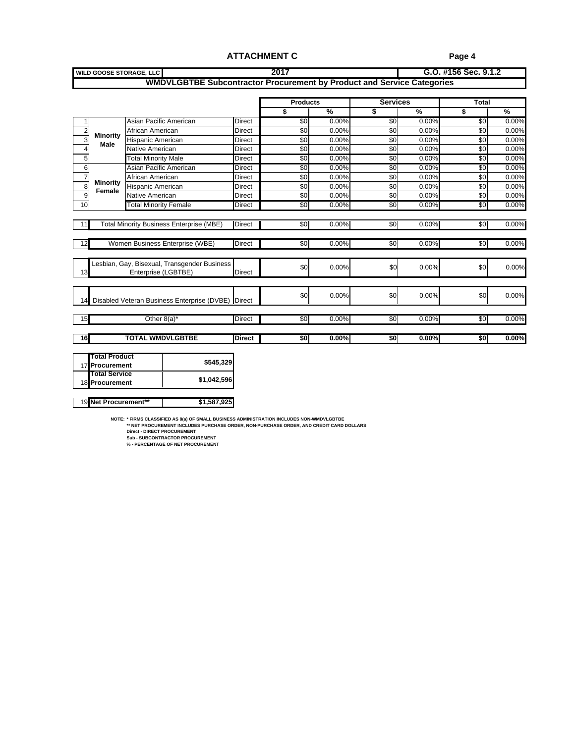#### **ATTACHMENT C**

**Page 4**

| <b>WILD GOOSE STORAGE, LLC</b>                                          |                                                                               |               |                   |      |                 | G.O. #156 Sec. 9.1.2 |          |
|-------------------------------------------------------------------------|-------------------------------------------------------------------------------|---------------|-------------------|------|-----------------|----------------------|----------|
|                                                                         | <b>WMDVLGBTBE Subcontractor Procurement by Product and Service Categories</b> |               |                   |      |                 |                      |          |
|                                                                         |                                                                               |               |                   |      |                 |                      |          |
|                                                                         |                                                                               |               | <b>Products</b>   |      | <b>Services</b> | Total                |          |
|                                                                         |                                                                               |               | $\%$              |      | $\%$            | $\%$                 |          |
| Asian Pacific American                                                  |                                                                               | Direct        |                   |      |                 |                      |          |
| African American                                                        |                                                                               |               |                   |      |                 |                      |          |
| $\frac{2}{3}$ Minority<br>Male<br>Hispanic American                     |                                                                               | Direct        |                   |      |                 |                      |          |
| Native American                                                         |                                                                               | Direct        |                   |      | _ O OO9         |                      |          |
| <b>Total Minority Male</b>                                              |                                                                               | Direct        | SQL QOO%          |      | . በ በበ%         |                      | - റ ററ   |
| Asian Pacific American                                                  |                                                                               | Direct        |                   |      |                 |                      |          |
| African American                                                        |                                                                               | Direct        |                   |      |                 |                      |          |
| $\frac{1}{\sqrt{8}}$ Minority $\frac{1}{\sqrt{8}}$<br>Hispanic American |                                                                               | Direct        |                   |      |                 |                      |          |
| Native American                                                         |                                                                               | <b>Direct</b> |                   |      |                 |                      |          |
| <b>Total Minority Female</b>                                            |                                                                               | Direct        | 0.00%             |      | $0.00\%$        |                      |          |
|                                                                         |                                                                               |               |                   |      |                 |                      |          |
| Total Minority Business Enterprise (MBE) Direct                         |                                                                               |               | $0.00\%$<br>SO DO | - 30 | $0.00\%$        | \$0 0.00%            |          |
|                                                                         |                                                                               |               |                   |      |                 |                      |          |
| Women Business Enterprise (WBE)                                         |                                                                               | <b>Direct</b> | - 0.00%<br>$50 -$ |      | $0.00\%$        |                      | 0.00%    |
|                                                                         |                                                                               |               |                   |      |                 |                      |          |
| Lesbian, Gay, Bisexual, Transgender Business                            |                                                                               |               |                   |      |                 |                      |          |
| Enterprise (LGBTBE)                                                     |                                                                               |               |                   |      |                 |                      |          |
|                                                                         |                                                                               |               |                   |      |                 |                      |          |
|                                                                         |                                                                               |               |                   |      |                 |                      |          |
| 1 Disabled Veteran Business Enterprise (DVBE) Direct                    |                                                                               |               | 0.00%             |      | 0.00%           |                      | 0.00°    |
|                                                                         |                                                                               |               |                   |      |                 |                      |          |
| Other $8(a)^*$                                                          |                                                                               | Direct I      | $0.00\%$          |      | $0.00\%$        |                      | 0.00%    |
|                                                                         |                                                                               |               |                   |      |                 |                      |          |
| <b>TOTAL WMDVLGBTBE</b>                                                 |                                                                               | Direct        | $0.00\%$<br>-SO I |      | $0.00\%$        |                      | $0.00\%$ |
|                                                                         |                                                                               |               |                   |      |                 |                      |          |
| <b>Total Product</b>                                                    |                                                                               |               |                   |      |                 |                      |          |
| 17 Procurement                                                          | \$545,329                                                                     |               |                   |      |                 |                      |          |
| <b>Total Service</b>                                                    | \$1,042,596                                                                   |               |                   |      |                 |                      |          |
| 18 Procurement                                                          |                                                                               |               |                   |      |                 |                      |          |
|                                                                         |                                                                               |               |                   |      |                 |                      |          |

19 **Net Procurement\*\* \$1,587,925**

NOTE: \* FIRMS CLASSIFIED AS 8(a) OF SMALL BUSINESS ADMINISTRATION INCLUDES NON-WMDVLGBTBE<br>\*\* NET PROCUREMENT INCLUDES PURCHASE ORDER, NON-PURCHASE ORDER, AND CREDIT CARD DOLLARS<br>Direct - DIRECT PROCUREMENT<br>Sub - SUBCONTRA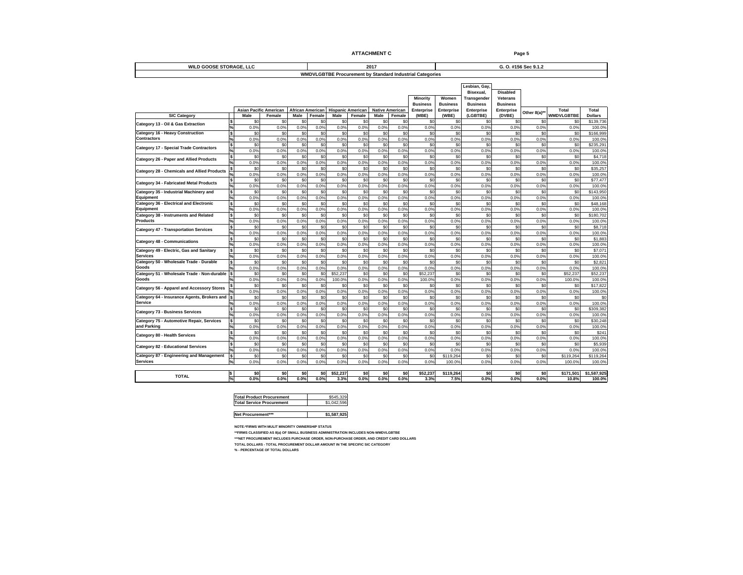|                                                        |                                                  | <b>ATTACHMENT C</b>                                                                     | Page 5                                                                                                                                                                                                                         |
|--------------------------------------------------------|--------------------------------------------------|-----------------------------------------------------------------------------------------|--------------------------------------------------------------------------------------------------------------------------------------------------------------------------------------------------------------------------------|
| <b>WILD GOOSE STORAGE, LLC</b>                         |                                                  | 2017                                                                                    | G. O. #156 Sec 9.1.2                                                                                                                                                                                                           |
|                                                        |                                                  | <b>WMDVLGBTBE Procurement by Standard Industrial Categories</b>                         |                                                                                                                                                                                                                                |
|                                                        |                                                  |                                                                                         | Lesbian, Gay,                                                                                                                                                                                                                  |
|                                                        |                                                  |                                                                                         | Bisexual,<br><b>Disabled</b>                                                                                                                                                                                                   |
|                                                        |                                                  |                                                                                         | Minority Women Transgender Veterans                                                                                                                                                                                            |
|                                                        |                                                  |                                                                                         | Business Business Business Business                                                                                                                                                                                            |
|                                                        |                                                  |                                                                                         | Asian Pacific American Affican American Hispanic American Native American Enterprise Enterprise Enterprise Enterprise Enterprise Enterprise Enterprise Enterprise Enterprise Enterprise Enterprise Enterprise Other 8(a)* VMID |
| <b>SIC Category</b>                                    |                                                  |                                                                                         |                                                                                                                                                                                                                                |
| Category 13 - Oil & Gas Extraction                     |                                                  |                                                                                         | \$139,73                                                                                                                                                                                                                       |
|                                                        |                                                  |                                                                                         |                                                                                                                                                                                                                                |
| Category 16 - Heavy Construction<br>Contractors        |                                                  |                                                                                         |                                                                                                                                                                                                                                |
| <b>Category 17 - Special Trade Contractors</b>         |                                                  |                                                                                         |                                                                                                                                                                                                                                |
|                                                        |                                                  |                                                                                         |                                                                                                                                                                                                                                |
| Category 26 - Paper and Allied Products                |                                                  |                                                                                         |                                                                                                                                                                                                                                |
|                                                        |                                                  |                                                                                         |                                                                                                                                                                                                                                |
| Category 28 - Chemicals and Allied Products            |                                                  |                                                                                         |                                                                                                                                                                                                                                |
| <b>Category 34 - Fabricated Metal Products</b>         |                                                  | \$0 \$0 \$0 \$0 \$0                                                                     |                                                                                                                                                                                                                                |
|                                                        |                                                  | $0.0\%$ $0.0\%$ $0.0\%$<br>$0.0\%$                                                      |                                                                                                                                                                                                                                |
| Category 35 - Industrial Machinery and<br>Eauipment    |                                                  |                                                                                         | 100.09                                                                                                                                                                                                                         |
| Category 36 - Electrical and Electronic                |                                                  |                                                                                         |                                                                                                                                                                                                                                |
| Equipment                                              |                                                  | $0.0\%$<br>$0.0\%$ $0.0\%$ $0.0\%$                                                      |                                                                                                                                                                                                                                |
| Category 38 - Instruments and Related<br>Products      |                                                  |                                                                                         | \$180,7                                                                                                                                                                                                                        |
|                                                        |                                                  |                                                                                         |                                                                                                                                                                                                                                |
| <b>Category 47 - Transportation Services</b>           |                                                  |                                                                                         |                                                                                                                                                                                                                                |
|                                                        |                                                  |                                                                                         |                                                                                                                                                                                                                                |
| <b>Category 48 - Communications</b>                    |                                                  |                                                                                         |                                                                                                                                                                                                                                |
| Category 49 - Electric, Gas and Sanitary<br>Services   |                                                  |                                                                                         |                                                                                                                                                                                                                                |
|                                                        |                                                  |                                                                                         |                                                                                                                                                                                                                                |
| Category 50 - Wholesale Trade - Durable                |                                                  |                                                                                         |                                                                                                                                                                                                                                |
| Category 51 - Wholesale Trade - Non-durable            |                                                  | $0.0\%$ $0.0\%$                                                                         |                                                                                                                                                                                                                                |
| Goods                                                  |                                                  |                                                                                         |                                                                                                                                                                                                                                |
| Category 56 - Apparel and Accessory Stores             |                                                  |                                                                                         |                                                                                                                                                                                                                                |
|                                                        |                                                  |                                                                                         | 100.09                                                                                                                                                                                                                         |
| Category 64 - Insurance Agents, Brokers and<br>Service |                                                  |                                                                                         |                                                                                                                                                                                                                                |
|                                                        |                                                  |                                                                                         |                                                                                                                                                                                                                                |
| <b>Category 73 - Business Services</b>                 |                                                  |                                                                                         |                                                                                                                                                                                                                                |
| Category 75 - Automotive Repair, Services              |                                                  |                                                                                         |                                                                                                                                                                                                                                |
| and Parking                                            |                                                  |                                                                                         |                                                                                                                                                                                                                                |
| Category 80 - Health Services                          |                                                  |                                                                                         |                                                                                                                                                                                                                                |
|                                                        |                                                  | $\frac{30}{2}$<br>$50 - 50$                                                             | \$5,93                                                                                                                                                                                                                         |
| <b>Category 82 - Educational Services</b>              |                                                  |                                                                                         |                                                                                                                                                                                                                                |
| Category 87 - Engineering and Management               |                                                  |                                                                                         |                                                                                                                                                                                                                                |
| Services                                               |                                                  |                                                                                         | 100.0% 100.0                                                                                                                                                                                                                   |
|                                                        |                                                  |                                                                                         |                                                                                                                                                                                                                                |
| <b>TOTAL</b>                                           |                                                  |                                                                                         | $\begin{array}{c cc} 80 & 8171,501 & 81,587,925 \\ \hline 0.0\% & 10.8\% & 100.0\% \end{array}$                                                                                                                                |
|                                                        |                                                  |                                                                                         |                                                                                                                                                                                                                                |
|                                                        |                                                  |                                                                                         |                                                                                                                                                                                                                                |
|                                                        | <b>Total Product Procurement</b>                 | $$545,329$<br>$$1,042,596$                                                              |                                                                                                                                                                                                                                |
|                                                        | <b>Total Service Procurement</b>                 |                                                                                         |                                                                                                                                                                                                                                |
|                                                        | Net Procurement***                               | \$1,587,925                                                                             |                                                                                                                                                                                                                                |
|                                                        |                                                  |                                                                                         |                                                                                                                                                                                                                                |
|                                                        | NOTE:*FIRMS WITH MULIT MINORITY OWNERSHIP STATUS |                                                                                         |                                                                                                                                                                                                                                |
|                                                        |                                                  | ** FIRMS CLASSIFIED AS 8(a) OF SMALL BUSINESS ADMINISTRATION INCLUDES NON-WMDVLGBTBE    |                                                                                                                                                                                                                                |
|                                                        |                                                  | ***NET PROCUREMENT INCLUDES PURCHASE ORDER, NON-PURCHASE ORDER, AND CREDIT CARD DOLLARS |                                                                                                                                                                                                                                |
|                                                        | % - PERCENTAGE OF TOTAL DOLLARS                  | TOTAL DOLLARS - TOTAL PROCUREMENT DOLLAR AMOUNT IN THE SPECIFIC SIC CATEGORY            |                                                                                                                                                                                                                                |

| Total Product Procurement<br>Total Service Procurement | \$545,329   |  |
|--------------------------------------------------------|-------------|--|
|                                                        | \$1,042,596 |  |
|                                                        |             |  |
| Net Procurement***                                     | \$1,587,925 |  |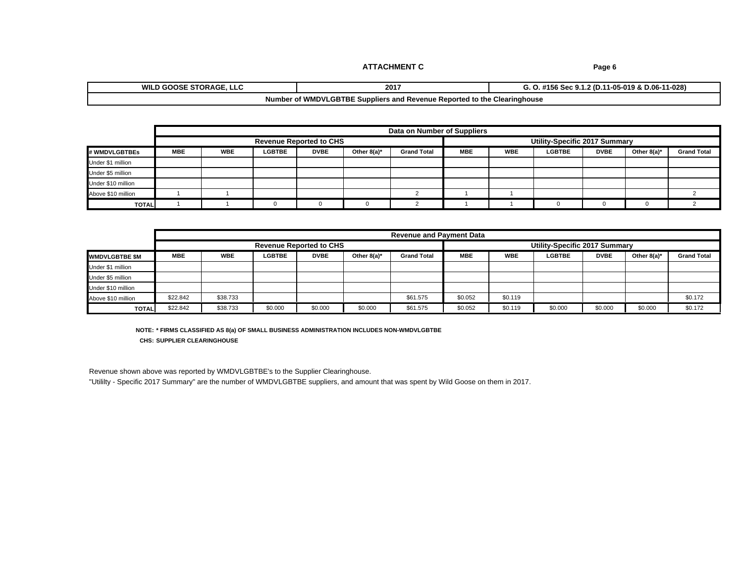# **2017 WILD GOOSE STORAGE, LLC G. O. #156 Sec 9.1.2 (D.11-05-019 & D.06-11-028)**

### **Number of WMDVLGBTBE Suppliers and Revenue Reported to the Clearinghouse**

|                    |            |     |                                |             | Data on Number of Supplier |     |                              |      |                |             |
|--------------------|------------|-----|--------------------------------|-------------|----------------------------|-----|------------------------------|------|----------------|-------------|
|                    |            |     | <b>Revenue Reported to CHS</b> |             |                            |     | Utility-Specific 2017 Summar |      |                |             |
| # WMDVLGBTBEs      | <b>MBE</b> | WBL |                                | Other 8(a)* | <b>Grand To</b>            | WBE | LUDI                         | DVBE | Other 8(a) $*$ | Grand Total |
| Under \$1 million  |            |     |                                |             |                            |     |                              |      |                |             |
| Under \$5 million  |            |     |                                |             |                            |     |                              |      |                |             |
| Under \$10 million |            |     |                                |             |                            |     |                              |      |                |             |
| Above \$10 million |            |     |                                |             |                            |     |                              |      |                |             |
| TOTAL              |            |     |                                |             |                            |     |                              |      |                |             |

|                          |            |          |                                |         |            | Revenue and Payment Data |             |     |                                      |             |             |             |
|--------------------------|------------|----------|--------------------------------|---------|------------|--------------------------|-------------|-----|--------------------------------------|-------------|-------------|-------------|
|                          |            |          | <b>Revenue Reported to CHS</b> |         |            |                          |             |     | <b>Utility-Specific 2017 Summary</b> |             |             |             |
| ______<br>WMDVLGBTBE \$M | <b>MBE</b> | WBE      |                                |         | Other 8(a) | <b>Grand Tota</b>        |             | WBE | <b>LGBTB</b>                         | <b>DVBE</b> | Other 8(a)* | Grand Total |
| Under \$1 million        |            |          |                                |         |            |                          |             |     |                                      |             |             |             |
| Under \$5 million        |            |          |                                |         |            |                          |             |     |                                      |             |             |             |
| Under \$10 million       |            |          |                                |         |            |                          |             |     |                                      |             |             |             |
| Above \$10 million       | \$22.842   | \$38.73. |                                |         |            |                          | . አበ በნግ    |     |                                      |             |             |             |
| TOTAL                    | \$22.842   | \$38.733 | 50000                          | \$0.000 | \$0.000    |                          | <b>SULL</b> |     |                                      | 80 O O O    | \$0.000     |             |

**NOTE: \* FIRMS CLASSIFIED AS 8(a) OF SMALL BUSINESS ADMINISTRATION INCLUDES NON-WMDVLGBTBE CHS: SUPPLIER CLEARINGHOUSE**

Revenue shown above was reported by WMDVLGBTBE's to the Supplier Clearinghouse.

"Utililty - Specific 2017 Summary" are the number of WMDVLGBTBE suppliers, and amount that was spent by Wild Goose on them in 2017.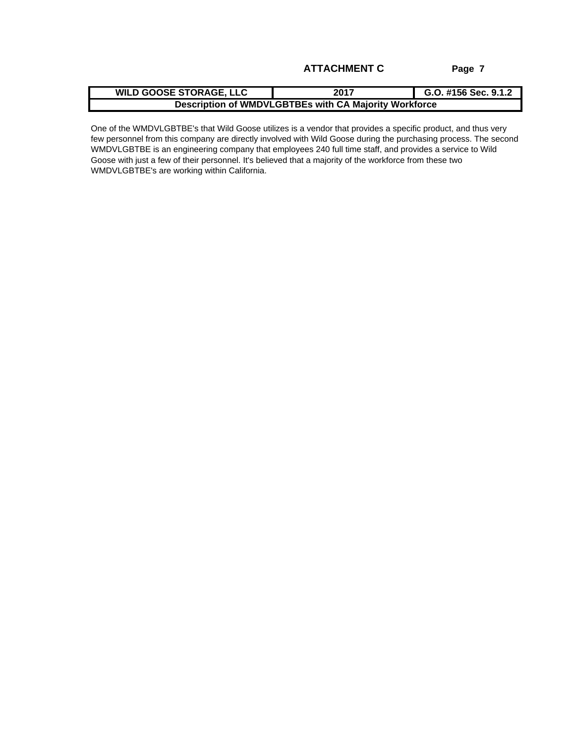**2017 G.O. #156 Sec. 9.1.2 WILD GOOSE STORAGE, LLC Description of WMDVLGBTBEs with CA Majority Workforce**

One of the WMDVLGBTBE's that Wild Goose utilizes is a vendor that provides a specific product, and thus very few personnel from this company are directly involved with Wild Goose during the purchasing process. The second WMDVLGBTBE is an engineering company that employees 240 full time staff, and provides a service to Wild Goose with just a few of their personnel. It's believed that a majority of the workforce from these two WMDVLGBTBE's are working within California.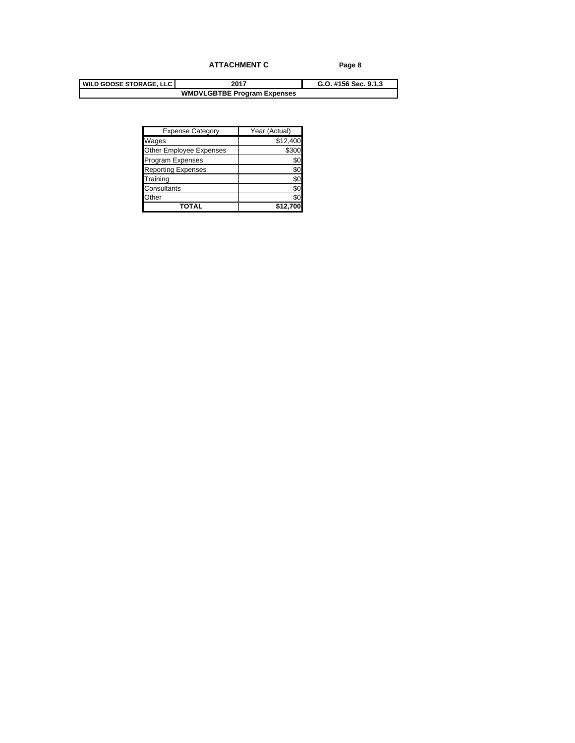|             | Expense Category          | Year (Actual) |
|-------------|---------------------------|---------------|
| Wages       |                           | \$12,400      |
|             | Other Employee Expenses   | \$300         |
|             | Program Expenses          |               |
|             | <b>Reporting Expenses</b> |               |
| Training    |                           |               |
| Consultants |                           |               |
| Other       |                           |               |
|             | <b>TOTAL</b>              | \$12,700      |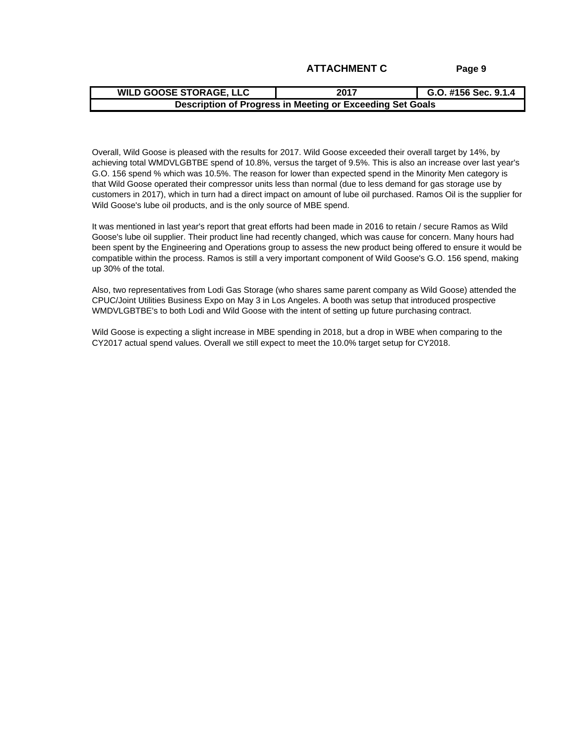| <b>ATTACHMENT C</b> |  |
|---------------------|--|
|---------------------|--|

|--|--|

Overall, Wild Goose is pleased with the results for 2017. Wild Goose exceeded their overall target by 14%, by achieving total WMDVLGBTBE spend of 10.8%, versus the target of 9.5%. This is also an increase over last year's G.O. 156 spend % which was 10.5%. The reason for lower than expected spend in the Minority Men category is that Wild Goose operated their compressor units less than normal (due to less demand for gas storage use by customers in 2017), which in turn had a direct impact on amount of lube oil purchased. Ramos Oil is the supplier for Wild Goose's lube oil products, and is the only source of MBE spend. **ATTACHMENT C**<br> **ATTACHMENT C**<br> **Page 9**<br> **ATTACHMENT C**<br> **Description of Progress in Meeting or Exceeding Set Goals**<br> **Cornall, Wild Goose is pleased with the results for 2017. Wild Goose exceeded their overall target by** 

It was mentioned in last year's report that great efforts had been made in 2016 to retain / secure Ramos as Wild Goose's lube oil supplier. Their product line had recently changed, which was cause for concern. Many hours had been spent by the Engineering and Operations group to assess the new product being offered to ensure it would be compatible within the process. Ramos is still a very important component of Wild Goose's G.O. 156 spend, making up 30% of the total.

Also, two representatives from Lodi Gas Storage (who shares same parent company as Wild Goose) attended the CPUC/Joint Utilities Business Expo on May 3 in Los Angeles. A booth was setup that introduced prospective WMDVLGBTBE's to both Lodi and Wild Goose with the intent of setting up future purchasing contract.

Wild Goose is expecting a slight increase in MBE spending in 2018, but a drop in WBE when comparing to the CY2017 actual spend values. Overall we still expect to meet the 10.0% target setup for CY2018.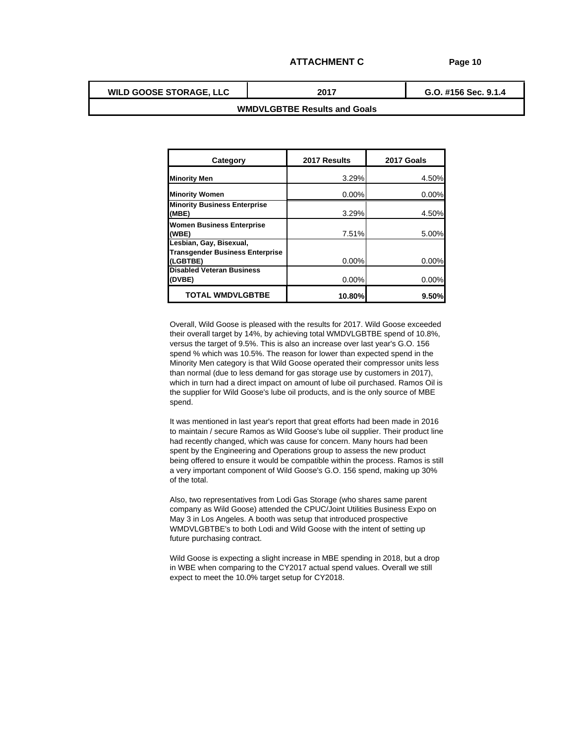**WILD GOOSE STORAGE, LLC**

**G.O. #156 Sec. 9.1.4 2017**

### **WMDVLGBTBE Results and Goals**

| <b>Category</b>                                                                                                                               | 2017 Results | 2017 Goals |
|-----------------------------------------------------------------------------------------------------------------------------------------------|--------------|------------|
| <b>Minority Men</b>                                                                                                                           | 3.29%        | 4.50%      |
|                                                                                                                                               |              |            |
| <b>Minority Women</b><br><b>Minority Business Enterprise</b>                                                                                  | 0.00%        | 0.00%      |
| (MBE)                                                                                                                                         | 3.29%        | 4.50%      |
| <b>Women Business Enterprise</b>                                                                                                              |              |            |
|                                                                                                                                               | 7.51%        | 5.00%      |
| (WBE)<br>Lesbian, Gay, Bisexual,                                                                                                              |              |            |
| <b>Transgender Business Enterprise</b>                                                                                                        |              |            |
| (LGBTBE)<br>Disabled Veteran Business                                                                                                         | 0.00%        | 0.00%      |
| (DVBE)                                                                                                                                        | 0.00%        | 0.00%      |
|                                                                                                                                               |              |            |
| <b>TOTAL WMDVLGBTBE</b>                                                                                                                       | 10.80%       | 9.50%      |
|                                                                                                                                               |              |            |
| Overall, Wild Goose is pleased with the results for 2017. Wild Goose exceeded                                                                 |              |            |
| their overall target by 14%, by achieving total WMDVLGBTBE spend of 10.8%,                                                                    |              |            |
| versus the target of 9.5%. This is also an increase over last year's G.O. 156                                                                 |              |            |
| spend % which was 10.5%. The reason for lower than expected spend in the                                                                      |              |            |
| Minority Men category is that Wild Goose operated their compressor units less                                                                 |              |            |
| than normal (due to less demand for gas storage use by customers in 2017),                                                                    |              |            |
| which in turn had a direct impact on amount of lube oil purchased. Ramos Oil is                                                               |              |            |
| the supplier for Wild Goose's lube oil products, and is the only source of MBE                                                                |              |            |
| spend.                                                                                                                                        |              |            |
| It was mentioned in last year's report that great efforts had been made in 2016                                                               |              |            |
| to maintain / secure Ramos as Wild Goose's lube oil supplier. Their product line                                                              |              |            |
| had recently changed, which was cause for concern. Many hours had been                                                                        |              |            |
| spent by the Engineering and Operations group to assess the new product                                                                       |              |            |
| being offered to ensure it would be compatible within the process. Ramos is still                                                             |              |            |
| a very important component of Wild Goose's G.O. 156 spend, making up 30%                                                                      |              |            |
| of the total.                                                                                                                                 |              |            |
|                                                                                                                                               |              |            |
| Also, two representatives from Lodi Gas Storage (who shares same parent                                                                       |              |            |
| company as Wild Goose) attended the CPUC/Joint Utilities Business Expo on                                                                     |              |            |
| May 3 in Los Angeles. A booth was setup that introduced prospective<br>WMDVLGBTBE's to both Lodi and Wild Goose with the intent of setting up |              |            |
| future purchasing contract.                                                                                                                   |              |            |
|                                                                                                                                               |              |            |
| Wild Goose is expecting a slight increase in MBE spending in 2018, but a drop                                                                 |              |            |
| in WBE when comparing to the CY2017 actual spend values. Overall we still                                                                     |              |            |
| expect to meet the 10.0% target setup for CY2018.                                                                                             |              |            |
|                                                                                                                                               |              |            |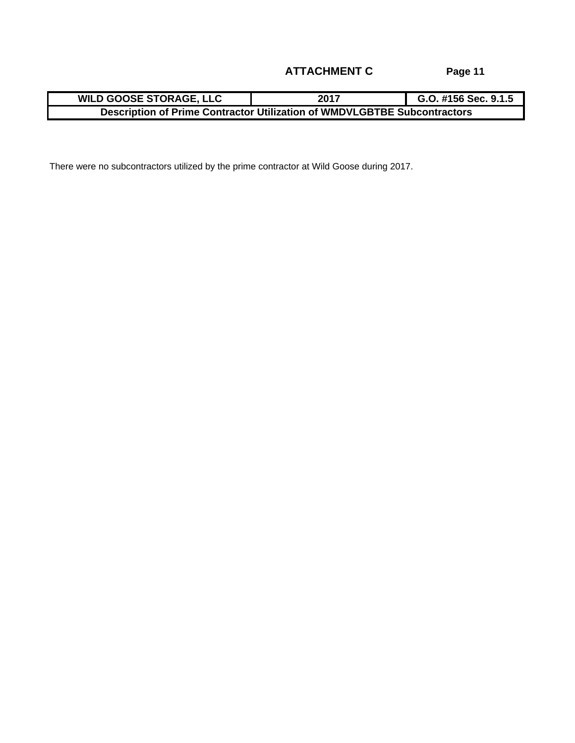There were no subcontractors utilized by the prime contractor at Wild Goose during 2017.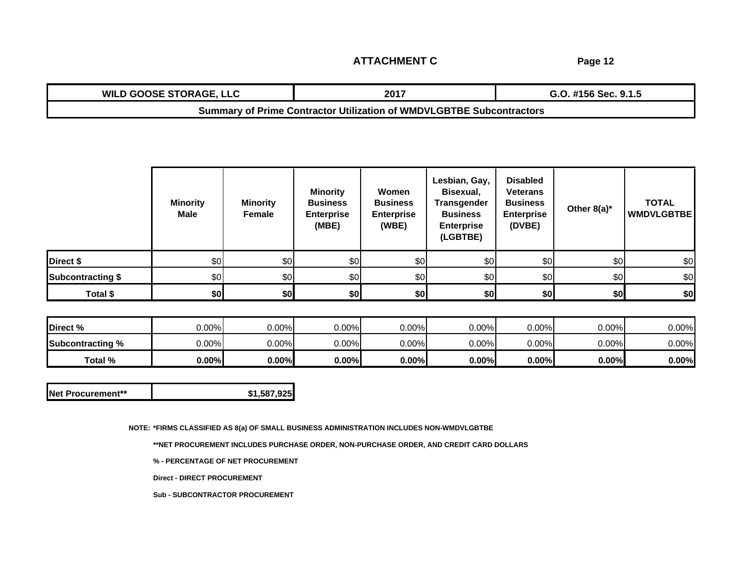**ATTACHMENT C**

**Page 12**

| <b>WILD GOOSE STORAGE, LLC</b> |                                                                      | G.O. #156 Sec. 9.1.5 |
|--------------------------------|----------------------------------------------------------------------|----------------------|
|                                | Summary of Prime Contractor Utilization of WMDVLGBTBE Subcontractors |                      |

|                          | <b>Minority</b><br><b>Male</b> | <b>Minority</b><br>Female | <b>Minority</b><br><b>Business</b><br><b>Enterprise</b><br>$\sqrt{AB}$<br>(IVIDE) | Women<br><b>Business</b><br><b>Enterprise</b><br>(WBE) | Lesbian, Gay,<br><b>Bisexual</b><br><b>Transgender</b><br><b>Business</b><br>Enterprise<br>(LGBTBE) | <b>Disabled</b><br><b>Veterans</b><br><b>Business</b><br>Enterprise<br>(DVBE) | Other 8(a)* | <b>TOTAL</b><br><b>WMDVLGBTBE</b> |  |
|--------------------------|--------------------------------|---------------------------|-----------------------------------------------------------------------------------|--------------------------------------------------------|-----------------------------------------------------------------------------------------------------|-------------------------------------------------------------------------------|-------------|-----------------------------------|--|
| Direct \$                |                                |                           |                                                                                   |                                                        |                                                                                                     |                                                                               |             |                                   |  |
| <b>Subcontracting \$</b> |                                |                           |                                                                                   |                                                        |                                                                                                     |                                                                               |             |                                   |  |
| Total \$                 |                                |                           |                                                                                   |                                                        | $\sim$                                                                                              |                                                                               | ⊕rol        |                                   |  |

| Direct % 10.00% 10.00% 10.00% 0.00% 0.00% 0.00% 0.00% 0.00% 0.00% 0.00% 0.00% 0.00% 0.00% 0.00% 0.00% 0.00% 0.00% 0.00% 0.00% 0.00% 0.00% 0.00% 0.00% 0.00% 0.00% 0.00% 0.00% 0.00% 0.00% 0.00% 0.00% 0.00% 0.00% 0.00% 0.00% |  |  |  |  |  |
|-------------------------------------------------------------------------------------------------------------------------------------------------------------------------------------------------------------------------------|--|--|--|--|--|
| Subcontracting % 0.00% 0.00% 0.00% 0.00% 0.00% 0.00% 0.00% 0.00% 0.00% 0.00% 0.00%                                                                                                                                            |  |  |  |  |  |
|                                                                                                                                                                                                                               |  |  |  |  |  |

**NOTE: \*FIRMS CLASSIFIED AS 8(a) OF SMALL BUSINESS ADMINISTRATION INCLUDES NON-WMDVLGBTBE**

**\*\*NET PROCUREMENT INCLUDES PURCHASE ORDER, NON-PURCHASE ORDER, AND CREDIT CARD DOLLARS**

**% - PERCENTAGE OF NET PROCUREMENT**

**Direct - DIRECT PROCUREMENT**

**Sub - SUBCONTRACTOR PROCUREMENT**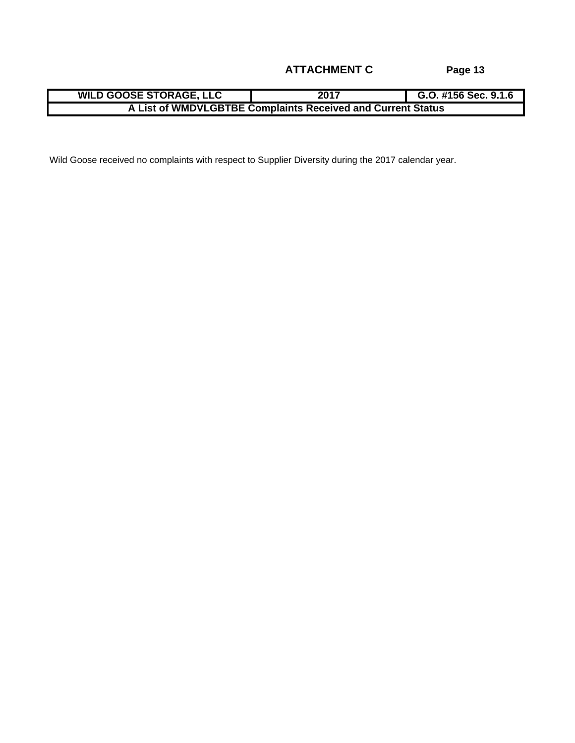| <b>WILD GOOSE STORAGE, LLC</b>   |                                                                | G.O. #156 Seq<br>п.<br>$\sim$ 0.0<br>— J.J.I.U |
|----------------------------------|----------------------------------------------------------------|------------------------------------------------|
| <b>WMDVLGBTBE</b><br>⊖ List of ⊺ | <b>omplaints Received and Current Status</b><br>r.<br>= Солпил |                                                |

Wild Goose received no complaints with respect to Supplier Diversity during the 2017 calendar year.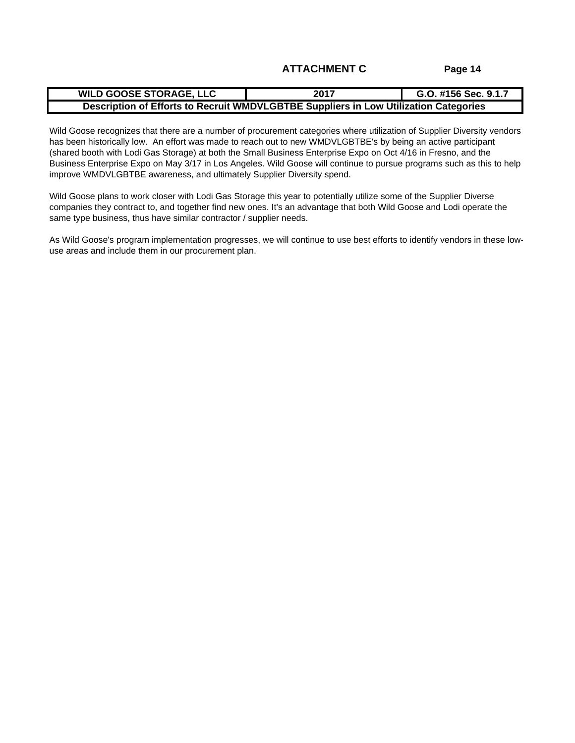| <b>ULD GOOSE STORAGE, LLC</b>                   | 2017                                                      | G.O. #156 Sec. 9.1.                          |
|-------------------------------------------------|-----------------------------------------------------------|----------------------------------------------|
| - - - - - -<br>்^^ of Ffforts மட<br>JU OI EIIO' | s to Recruit WMDVLGBTBE Sur<br>. DE JUDUIE.<br>LUW UUIII' | uppliere in Lew Hilization Categories<br>. . |

Wild Goose recognizes that there are a number of procurement categories where utilization of Supplier Diversity vendors has been historically low. An effort was made to reach out to new WMDVLGBTBE's by being an active participant (shared booth with Lodi Gas Storage) at both the Small Business Enterprise Expo on Oct 4/16 in Fresno, and the Business Enterprise Expo on May 3/17 in Los Angeles. Wild Goose will continue to pursue programs such as this to help improve WMDVLGBTBE awareness, and ultimately Supplier Diversity spend.

Wild Goose plans to work closer with Lodi Gas Storage this year to potentially utilize some of the Supplier Diverse companies they contract to, and together find new ones. It's an advantage that both Wild Goose and Lodi operate the same type business, thus have similar contractor / supplier needs.

As Wild Goose's program implementation progresses, we will continue to use best efforts to identify vendors in these lowuse areas and include them in our procurement plan.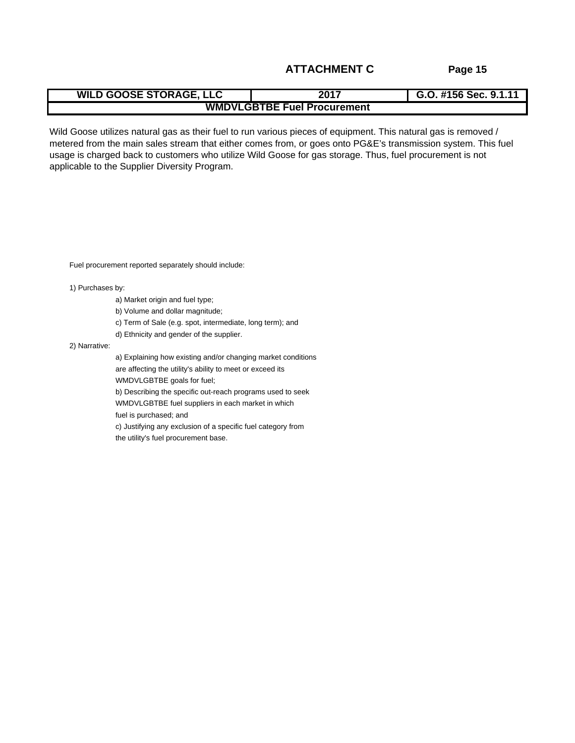| <b>WILD GOOT</b><br><b>DSE STORAGE. LLC</b>                                                                                                | <b>*156 Sec. 9.1.1</b><br>2017<br>$\sim$ $\sim$ $\sim$ $\sim$ $\sim$ $\sim$ $\sim$<br>G.U. |
|--------------------------------------------------------------------------------------------------------------------------------------------|--------------------------------------------------------------------------------------------|
| and the contract of the contract of the contract of the contract of the contract of the contract of the contract of<br><b>WMDVLGBTBE F</b> | <sup>न</sup> Fuel Procurement                                                              |

Wild Goose utilizes natural gas as their fuel to run various pieces of equipment. This natural gas is removed / metered from the main sales stream that either comes from, or goes onto PG&E's transmission system. This fuel usage is charged back to customers who utilize Wild Goose for gas storage. Thus, fuel procurement is not applicable to the Supplier Diversity Program.

Fuel procurement reported separately should include:

1) Purchases by:

- a) Market origin and fuel type;
- b) Volume and dollar magnitude;
- c) Term of Sale (e.g. spot, intermediate, long term); and
- d) Ethnicity and gender of the supplier.

2) Narrative:

a) Explaining how existing and/or changing market conditions are affecting the utility's ability to meet or exceed its WMDVLGBTBE goals for fuel;

b) Describing the specific out-reach programs used to seek WMDVLGBTBE fuel suppliers in each market in which

fuel is purchased; and

c) Justifying any exclusion of a specific fuel category from the utility's fuel procurement base.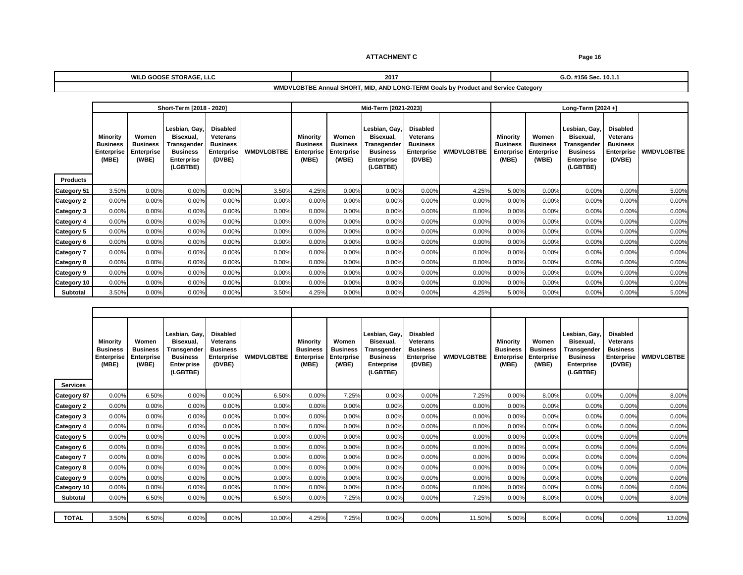**2017 G.O. #156 Sec. 10.1.1 WILD GOOSE STORAGE, LLC**

### **WMDVLGBTBE Annual SHORT, MID, AND LONG-TERM Goals by Product and Service Category**

|                         |                                                                                                             | Short-Term [2018 - 2020]              |                                               |                                                                                                          | Mid-Term [2021-2023]                         |            |                             |                      | Long-Term [2024 +]                                                                                                                                                                             |           |  |
|-------------------------|-------------------------------------------------------------------------------------------------------------|---------------------------------------|-----------------------------------------------|----------------------------------------------------------------------------------------------------------|----------------------------------------------|------------|-----------------------------|----------------------|------------------------------------------------------------------------------------------------------------------------------------------------------------------------------------------------|-----------|--|
|                         | <b>Minority</b> Women<br>  Business   Business   Transgender   Business  <br><b>Enterprise   Enterprise</b> | Lesbian, Gay, Disabled<br>Business    | Bisexual, Veterans<br>Enterprise   WMDVLGBTBE | <b>Minority Women</b><br>Business Business Transgender Business<br><b>Enterprise Enterprise Business</b> | Lesbian, Gay, Disabled<br>Bisexual, Veterans | Enterprise |                             |                      | Lesbian, Gay, Disabled<br>Minority Women Bisexual, Veterans<br>Business Business Transgender Business<br>Enterprise Enterprise Business Enterprise WMDVLGBTBE<br>(MBE) (WBE) Enterprise (DVBE) |           |  |
|                         | (MBE)   (WBE)                                                                                               | Enterprise<br>(LGBTBE)                | (DVBE)                                        | (MBE) (WBE) Enterprise (MBE)                                                                             |                                              | (DVBE)     |                             |                      | (LGBTBE)                                                                                                                                                                                       |           |  |
| Products                |                                                                                                             |                                       |                                               |                                                                                                          |                                              |            | 500                         |                      | 0.000                                                                                                                                                                                          |           |  |
| Category 51 3.5         |                                                                                                             |                                       |                                               |                                                                                                          |                                              |            |                             |                      | 0.000                                                                                                                                                                                          |           |  |
| Category 2              |                                                                                                             |                                       |                                               |                                                                                                          |                                              |            |                             |                      |                                                                                                                                                                                                |           |  |
| Category 3              |                                                                                                             |                                       |                                               |                                                                                                          |                                              |            |                             |                      |                                                                                                                                                                                                |           |  |
| $\text{Category 4}$ 0.  |                                                                                                             |                                       |                                               |                                                                                                          |                                              |            |                             |                      |                                                                                                                                                                                                |           |  |
| "ategory 5              |                                                                                                             |                                       |                                               |                                                                                                          |                                              |            |                             |                      |                                                                                                                                                                                                |           |  |
| Category 6              |                                                                                                             |                                       |                                               |                                                                                                          |                                              |            |                             |                      |                                                                                                                                                                                                |           |  |
|                         |                                                                                                             |                                       |                                               |                                                                                                          |                                              |            |                             |                      |                                                                                                                                                                                                |           |  |
| Pategory 8 0.6          |                                                                                                             |                                       |                                               |                                                                                                          |                                              |            |                             |                      |                                                                                                                                                                                                |           |  |
| Category 9 0.00%        |                                                                                                             |                                       |                                               |                                                                                                          |                                              |            |                             |                      |                                                                                                                                                                                                |           |  |
|                         |                                                                                                             |                                       |                                               |                                                                                                          |                                              |            | $\sim$ $\sim$ $\sim$ $\sim$ | $\sim$ $\sim$ $\sim$ |                                                                                                                                                                                                |           |  |
| Example of the Subtotal |                                                                                                             | and the control of the control of the |                                               |                                                                                                          |                                              |            |                             |                      | 0.000                                                                                                                                                                                          | _________ |  |

|                                                                                                      | the contract of the contract of the contract of |                                                          |                         |                 |                                                          |                                     |                   |                       |                          |                                              |                                                                                                                                |
|------------------------------------------------------------------------------------------------------|-------------------------------------------------|----------------------------------------------------------|-------------------------|-----------------|----------------------------------------------------------|-------------------------------------|-------------------|-----------------------|--------------------------|----------------------------------------------|--------------------------------------------------------------------------------------------------------------------------------|
|                                                                                                      |                                                 |                                                          |                         |                 |                                                          |                                     |                   |                       |                          |                                              |                                                                                                                                |
|                                                                                                      |                                                 | Lesbian, Gay,   Disabled<br>Bisexual, Veterans           |                         |                 |                                                          | Lesbian, Gay, Disabled<br>Bisexual, |                   |                       |                          | Lesbian, Gay, Disabled<br>Bisexual, Veterans |                                                                                                                                |
|                                                                                                      | Minority<br>Women<br><b>Business</b>            | <b>Business Transgender</b>                              | Business                | <b>Business</b> | Minority Women<br><b>Business</b>                        | Transgender Business                | <b>Veterans</b>   | <b>Minority Women</b> |                          |                                              |                                                                                                                                |
|                                                                                                      |                                                 |                                                          | Enterprise   WMDVLGBTBE |                 |                                                          |                                     | <b>Enterprise</b> |                       |                          |                                              |                                                                                                                                |
|                                                                                                      |                                                 | Enterprise Enterprise Business<br>(MBE) (WBE) Enterprise | (DVBE)                  |                 | Enterprise Enterprise Business<br>(MBE) (WBE) Enterprise |                                     | (DVBE)            |                       |                          |                                              | Business Business Transgender Business<br>Enterprise Enterprise Business Enterprise WMDVLGBTBE<br>(MBE) (WBE) (LGBTBE) (LOVBE) |
|                                                                                                      |                                                 | (LGBTBE                                                  |                         |                 |                                                          | (LGBTBE)                            |                   |                       |                          |                                              |                                                                                                                                |
| Services                                                                                             |                                                 |                                                          |                         |                 |                                                          |                                     |                   |                       |                          |                                              |                                                                                                                                |
| $2 \times 87$ 0.                                                                                     |                                                 |                                                          |                         |                 |                                                          |                                     |                   |                       |                          |                                              |                                                                                                                                |
| Category 2 0.00% 0.00%                                                                               |                                                 |                                                          |                         |                 |                                                          |                                     |                   |                       |                          |                                              |                                                                                                                                |
| Category 3 $\begin{array}{ c c c c c } \hline \text{Categorical} & \text{0.00\%} \hline \end{array}$ |                                                 | $\sim$ $\sim$ $\sim$                                     |                         |                 |                                                          |                                     |                   |                       |                          |                                              |                                                                                                                                |
|                                                                                                      |                                                 | 0.0070                                                   |                         |                 |                                                          |                                     |                   |                       |                          | $0.0070$ $0.007$                             |                                                                                                                                |
| $2 \times 4$ 0.00                                                                                    |                                                 |                                                          |                         |                 |                                                          |                                     |                   |                       |                          |                                              |                                                                                                                                |
|                                                                                                      |                                                 |                                                          |                         |                 |                                                          |                                     |                   |                       |                          |                                              | $\overline{\phantom{a}}$                                                                                                       |
| Category 6 0.00%                                                                                     |                                                 |                                                          |                         |                 |                                                          |                                     |                   |                       | $\overline{\phantom{a}}$ |                                              | $\overline{\phantom{a}}$                                                                                                       |
| Category 7                                                                                           |                                                 |                                                          |                         |                 |                                                          |                                     |                   |                       |                          |                                              |                                                                                                                                |
| Category 8 0.6                                                                                       |                                                 |                                                          |                         |                 |                                                          |                                     |                   |                       |                          |                                              |                                                                                                                                |
| $\frac{1}{2}$ ategory 9 0.                                                                           |                                                 |                                                          |                         |                 |                                                          |                                     |                   |                       |                          |                                              |                                                                                                                                |
| Category 10 0.                                                                                       |                                                 |                                                          |                         |                 |                                                          |                                     |                   |                       |                          |                                              |                                                                                                                                |
| Subtotal 0.00%                                                                                       |                                                 |                                                          |                         |                 |                                                          | 0.00                                |                   |                       |                          |                                              |                                                                                                                                |
|                                                                                                      |                                                 |                                                          |                         |                 |                                                          |                                     |                   |                       |                          |                                              |                                                                                                                                |
| <b>TOTAL</b> 3.50%                                                                                   |                                                 | 6.50%<br>0.00%                                           | 0 00%                   | 10.00%          |                                                          |                                     |                   |                       | 8.00%                    |                                              | 13.00                                                                                                                          |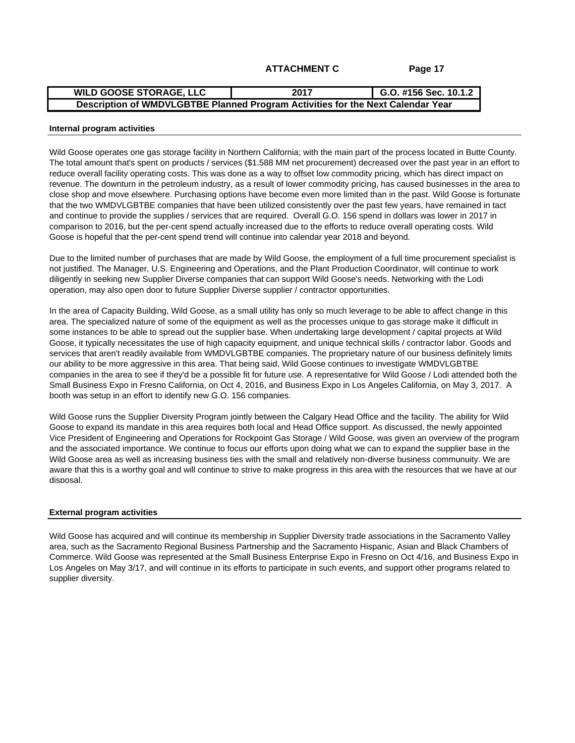#### **G.O. #156 Sec. 10.1.2 2017 WILD GOOSE STORAGE, LLC Description of WMDVLGBTBE Planned Program Activities for the Next Calendar Year**

#### **Internal program activities**

Wild Goose operates one gas storage facility in Northern California; with the main part of the process located in Butte County. The total amount that's spent on products / services (\$1.588 MM net procurement) decreased over the past year in an effort to reduce overall facility operating costs. This was done as a way to offset low commodity pricing, which has direct impact on revenue. The downturn in the petroleum industry, as a result of lower commodity pricing, has caused businesses in the area to close shop and move elsewhere. Purchasing options have become even more limited than in the past. Wild Goose is fortunate that the two WMDVLGBTBE companies that have been utilized consistently over the past few years, have remained in tact and continue to provide the supplies / services that are required. Overall G.O. 156 spend in dollars was lower in 2017 in comparison to 2016, but the per-cent spend actually increased due to the efforts to reduce overall operating costs. Wild Goose is hopeful that the per-cent spend trend will continue into calendar year 2018 and beyond.

Due to the limited number of purchases that are made by Wild Goose, the employment of a full time procurement specialist is not justified. The Manager, U.S. Engineering and Operations, and the Plant Production Coordinator, will continue to work diligently in seeking new Supplier Diverse companies that can support Wild Goose's needs. Networking with the Lodi operation, may also open door to future Supplier Diverse supplier / contractor opportunities.

In the area of Capacity Building, Wild Goose, as a small utility has only so much leverage to be able to affect change in this area. The specialized nature of some of the equipment as well as the processes unique to gas storage make it difficult in some instances to be able to spread out the supplier base. When undertaking large development / capital projects at Wild Goose, it typically necessitates the use of high capacity equipment, and unique technical skills / contractor labor. Goods and services that aren't readily available from WMDVLGBTBE companies. The proprietary nature of our business definitely limits our ability to be more aggressive in this area. That being said, Wild Goose continues to investigate WMDVLGBTBE companies in the area to see if they'd be a possible fit for future use. A representative for Wild Goose / Lodi attended both the Small Business Expo in Fresno California, on Oct 4, 2016, and Business Expo in Los Angeles California, on May 3, 2017. A booth was setup in an effort to identify new G.O. 156 companies.

Wild Goose runs the Supplier Diversity Program jointly between the Calgary Head Office and the facility. The ability for Wild Goose to expand its mandate in this area requires both local and Head Office support. As discussed, the newly appointed Vice President of Engineering and Operations for Rockpoint Gas Storage / Wild Goose, was given an overview of the program and the associated importance. We continue to focus our efforts upon doing what we can to expand the supplier base in the Wild Goose area as well as increasing business ties with the small and relatively non-diverse business communuity. We are aware that this is a worthy goal and will continue to strive to make progress in this area with the resources that we have at our disposal.

### **External program activities**

Wild Goose has acquired and will continue its membership in Supplier Diversity trade associations in the Sacramento Valley area, such as the Sacramento Regional Business Partnership and the Sacramento Hispanic, Asian and Black Chambers of Commerce. Wild Goose was represented at the Small Business Enterprise Expo in Fresno on Oct 4/16, and Business Expo in Los Angeles on May 3/17, and will continue in its efforts to participate in such events, and support other programs related to supplier diversity.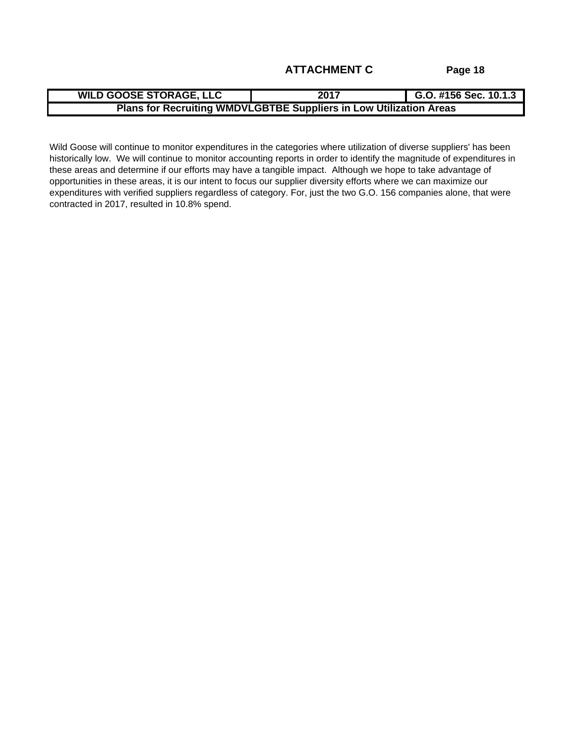Wild Goose will continue to monitor expenditures in the categories where utilization of diverse suppliers' has been historically low. We will continue to monitor accounting reports in order to identify the magnitude of expenditures in these areas and determine if our efforts may have a tangible impact. Although we hope to take advantage of opportunities in these areas, it is our intent to focus our supplier diversity efforts where we can maximize our expenditures with verified suppliers regardless of category. For, just the two G.O. 156 companies alone, that were contracted in 2017, resulted in 10.8% spend.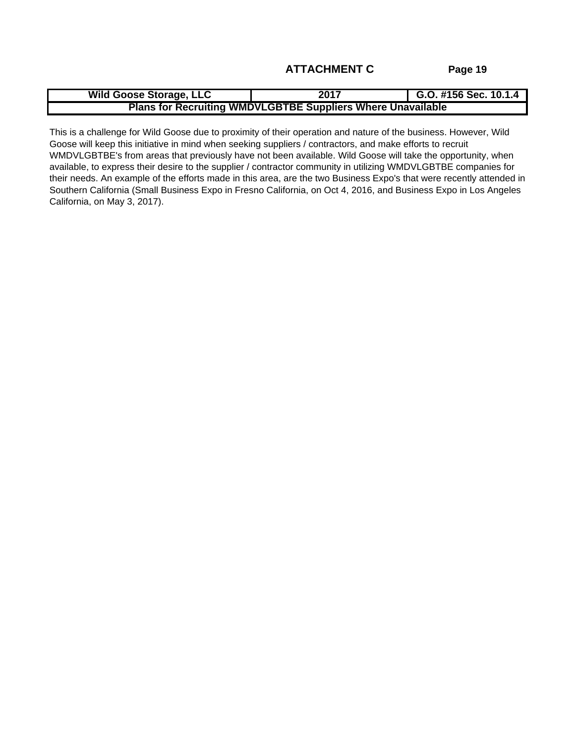This is a challenge for Wild Goose due to proximity of their operation and nature of the business. However, Wild Goose will keep this initiative in mind when seeking suppliers / contractors, and make efforts to recruit WMDVLGBTBE's from areas that previously have not been available. Wild Goose will take the opportunity, when available, to express their desire to the supplier / contractor community in utilizing WMDVLGBTBE companies for their needs. An example of the efforts made in this area, are the two Business Expo's that were recently attended in Southern California (Small Business Expo in Fresno California, on Oct 4, 2016, and Business Expo in Los Angeles California, on May 3, 2017).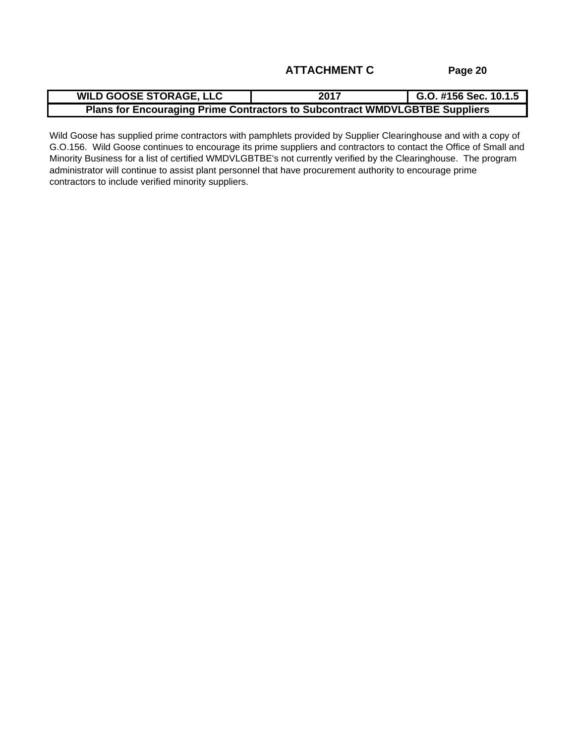| E STORAGE. I<br><b>GOOSE</b><br>. <i>. .</i><br>-- -- | $\bullet\bullet\bullet$<br>ZU                     | #156 Sec. 10.1.5 |
|-------------------------------------------------------|---------------------------------------------------|------------------|
| ıa Prime<br><b>Plans for Encouragin</b>               | e Contractors to Subcontract WMDVLGBTBE Suppliers |                  |

Wild Goose has supplied prime contractors with pamphlets provided by Supplier Clearinghouse and with a copy of G.O.156. Wild Goose continues to encourage its prime suppliers and contractors to contact the Office of Small and Minority Business for a list of certified WMDVLGBTBE's not currently verified by the Clearinghouse. The program administrator will continue to assist plant personnel that have procurement authority to encourage prime contractors to include verified minority suppliers.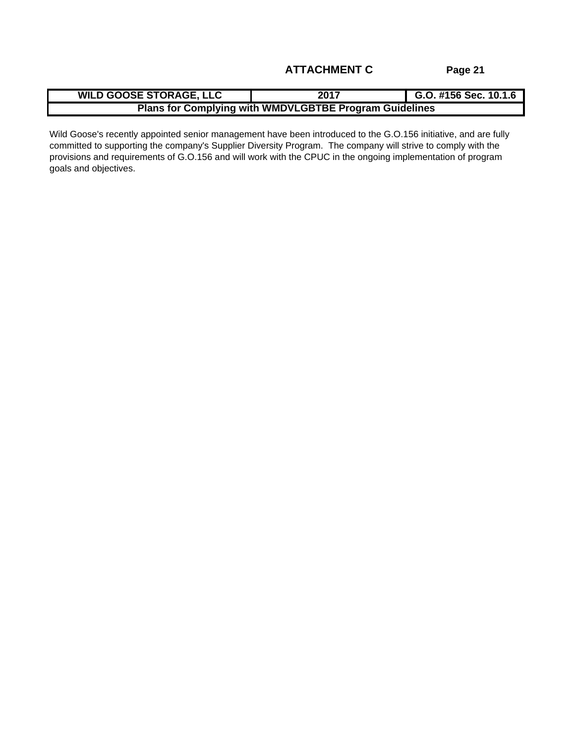| <b>WILD GOOSE STORAGE, LLC</b> | 156C<br>2017<br>G.O. #156 Sec. 10.1.6 |
|--------------------------------|---------------------------------------|
| -- - - -                       | lying with WMDVLGBTBE Progra          |
| : tor                          | uidelines                             |
| ∵uom                           | am oui                                |

Wild Goose's recently appointed senior management have been introduced to the G.O.156 initiative, and are fully committed to supporting the company's Supplier Diversity Program. The company will strive to comply with the provisions and requirements of G.O.156 and will work with the CPUC in the ongoing implementation of program goals and objectives.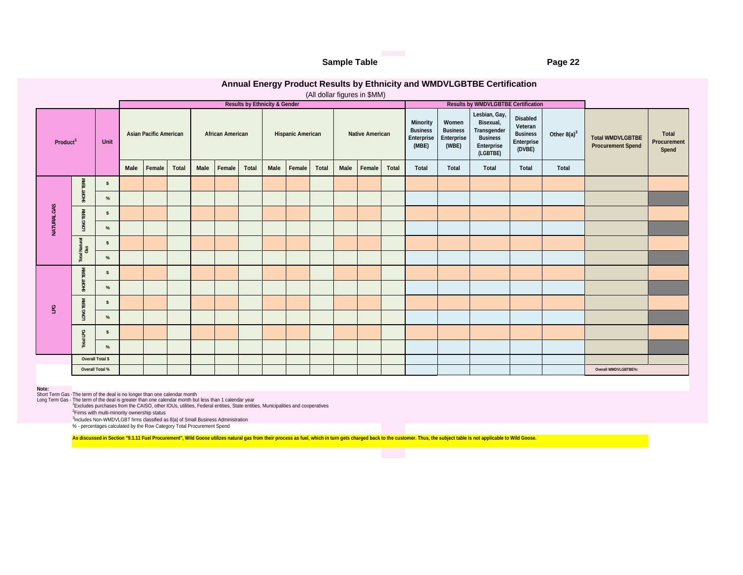#### **Sample Table Page 22**

### **Annual Energy Product Results by Ethnicity and WMDVLGBTBE Certification**

(All dollar figures in \$MM)

|                      |                             |                                                                                              |                         | <b>Results by Ethnicity &amp; Gender</b>                                                                                                                                                                                                |                        |              |                                                                                                                | <b>Results by WMDVLGBTBE Certification</b> |                                                                |       |                                                                                                                         |                               |
|----------------------|-----------------------------|----------------------------------------------------------------------------------------------|-------------------------|-----------------------------------------------------------------------------------------------------------------------------------------------------------------------------------------------------------------------------------------|------------------------|--------------|----------------------------------------------------------------------------------------------------------------|--------------------------------------------|----------------------------------------------------------------|-------|-------------------------------------------------------------------------------------------------------------------------|-------------------------------|
| Product <sup>1</sup> | Unit                        | <b>Asian Pacific American</b>                                                                | <b>African American</b> | <b>Hispanic American</b>                                                                                                                                                                                                                | <b>Native American</b> | Minority     | Women<br>Business Business Transgender<br>Enterprise Enterprise Business<br>(MBE) (WBE) Enterprise<br>(LGBTBE) | Lesbian, Gay,<br>Bisexual,                 | Disabled<br>Veteran<br><b>Business</b><br>Enterprise<br>(DVBE) |       | Other 8(a) <sup>3</sup> Total WMDVLGBTBE<br><b>Procurement Spend</b>                                                    | Total<br>Procurement<br>Spend |
|                      |                             |                                                                                              |                         | Male Female Total   Male Female Total   Male Female Total   Male Female Total                                                                                                                                                           |                        | <b>Total</b> | Total                                                                                                          | Total                                      | Total                                                          | Total |                                                                                                                         |                               |
|                      | — ≅ ।<br>$\mathbf{s}$       |                                                                                              |                         |                                                                                                                                                                                                                                         |                        |              |                                                                                                                |                                            |                                                                |       |                                                                                                                         |                               |
|                      |                             |                                                                                              |                         |                                                                                                                                                                                                                                         |                        |              |                                                                                                                |                                            |                                                                |       |                                                                                                                         |                               |
|                      |                             |                                                                                              |                         |                                                                                                                                                                                                                                         |                        |              |                                                                                                                |                                            |                                                                |       |                                                                                                                         |                               |
|                      | $\mathcal{O}_{\mathcal{L}}$ |                                                                                              |                         |                                                                                                                                                                                                                                         |                        |              |                                                                                                                |                                            |                                                                |       |                                                                                                                         |                               |
|                      |                             |                                                                                              |                         |                                                                                                                                                                                                                                         |                        |              |                                                                                                                |                                            |                                                                |       |                                                                                                                         |                               |
|                      |                             |                                                                                              |                         |                                                                                                                                                                                                                                         |                        |              |                                                                                                                |                                            |                                                                |       |                                                                                                                         |                               |
|                      | RM <sub>2</sub>             |                                                                                              |                         |                                                                                                                                                                                                                                         |                        |              |                                                                                                                |                                            |                                                                |       |                                                                                                                         |                               |
|                      |                             |                                                                                              |                         |                                                                                                                                                                                                                                         |                        |              |                                                                                                                |                                            |                                                                |       |                                                                                                                         |                               |
|                      |                             |                                                                                              |                         |                                                                                                                                                                                                                                         |                        |              |                                                                                                                |                                            |                                                                |       |                                                                                                                         |                               |
|                      |                             |                                                                                              |                         |                                                                                                                                                                                                                                         |                        |              |                                                                                                                |                                            |                                                                |       |                                                                                                                         |                               |
|                      | $\circ$                     |                                                                                              |                         |                                                                                                                                                                                                                                         |                        |              |                                                                                                                |                                            |                                                                |       |                                                                                                                         |                               |
|                      |                             |                                                                                              |                         |                                                                                                                                                                                                                                         |                        |              |                                                                                                                |                                            |                                                                |       |                                                                                                                         |                               |
|                      | Overall Total \$            |                                                                                              |                         |                                                                                                                                                                                                                                         |                        |              |                                                                                                                |                                            |                                                                |       |                                                                                                                         |                               |
|                      | Overall Total %             |                                                                                              |                         |                                                                                                                                                                                                                                         |                        |              |                                                                                                                |                                            |                                                                |       | Overall WMDVLGBTBE%:                                                                                                    |                               |
|                      |                             | <sup>3</sup> Includes Non-WMDVLGBT firms classified as 8(a) of Small Business Administration |                         | Note:<br>Short Term Gas - The term of the deal is no longer than one calendar month<br>Long Term Gas - The term of the deal is greater than one calendar month but less than 1 calendar year<br>'Excludes purchases from the CAISO, oth |                        |              |                                                                                                                |                                            |                                                                |       |                                                                                                                         |                               |
|                      |                             | % - percentages calculated by the Row Category Total Procurement Spend                       |                         | As discussed in Section "9.1.11 Fuel Procurement", Wild Goose utilizes natural gas from their process as fuel, which in turn gets charged back to the customer. Thus, the subject table is not applicable to Wild Goose.                |                        |              |                                                                                                                |                                            |                                                                |       | $\mathcal{L}(\mathcal{L})$ and $\mathcal{L}(\mathcal{L})$ and $\mathcal{L}(\mathcal{L})$ and $\mathcal{L}(\mathcal{L})$ |                               |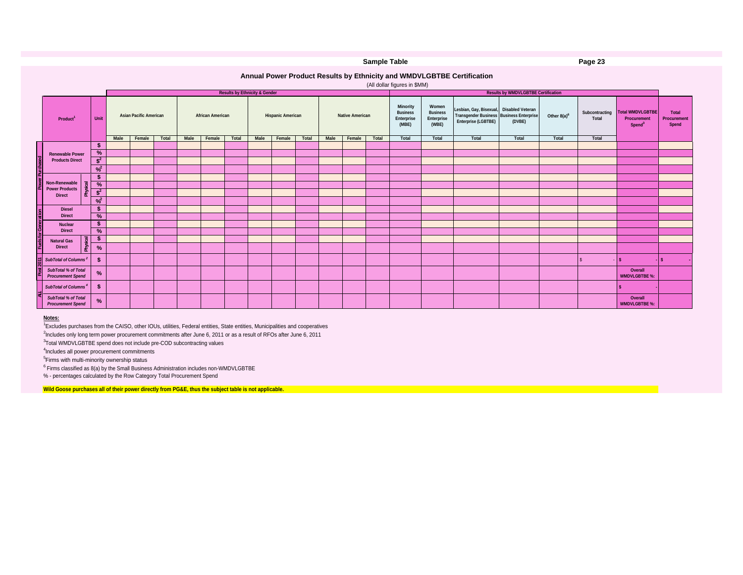|                                                                                                                      |                                                                                                                                                                                                                                                                                                                                                                                                                                                                                                                                                                                                                                                                  |                         |                                          |                                                                                     | Sample Table           |                                                       |                                                   |                                                                                                                                     |        |                                     | Page 23 |                                                                            |                               |
|----------------------------------------------------------------------------------------------------------------------|------------------------------------------------------------------------------------------------------------------------------------------------------------------------------------------------------------------------------------------------------------------------------------------------------------------------------------------------------------------------------------------------------------------------------------------------------------------------------------------------------------------------------------------------------------------------------------------------------------------------------------------------------------------|-------------------------|------------------------------------------|-------------------------------------------------------------------------------------|------------------------|-------------------------------------------------------|---------------------------------------------------|-------------------------------------------------------------------------------------------------------------------------------------|--------|-------------------------------------|---------|----------------------------------------------------------------------------|-------------------------------|
|                                                                                                                      |                                                                                                                                                                                                                                                                                                                                                                                                                                                                                                                                                                                                                                                                  |                         |                                          | Annual Power Product Results by Ethnicity and WMDVLGBTBE Certification              |                        |                                                       |                                                   |                                                                                                                                     |        |                                     |         |                                                                            |                               |
|                                                                                                                      |                                                                                                                                                                                                                                                                                                                                                                                                                                                                                                                                                                                                                                                                  |                         | <b>Results by Ethnicity &amp; Gender</b> |                                                                                     |                        | (All dollar figures in \$MM)                          |                                                   |                                                                                                                                     |        | Results by WMDVLGBTBE Certification |         |                                                                            |                               |
| Product <sup>1</sup>                                                                                                 | <b>Asian Pacific American</b>                                                                                                                                                                                                                                                                                                                                                                                                                                                                                                                                                                                                                                    | <b>African American</b> |                                          | <b>Hispanic American</b>                                                            | <b>Native American</b> | <b>Minority<br/>Business<br/>Enterprise<br/>(MBE)</b> | Women<br><b>Business<br/>Enterprise<br/>(WBE)</b> | Lesbian, Gay, Bisexual, Disabled Veteran<br>Transgender Business Business Enterprise Other 8(a) <sup>6</sup><br>Enterprise (LGBTBE) | (DVBE) |                                     |         | Subcontracting Total WMDVLGBTBE<br>Total Procurement<br>Spend <sup>3</sup> | Total<br>Procurement<br>Spend |
| Renewable Power<br>Non-Renewable                                                                                     |                                                                                                                                                                                                                                                                                                                                                                                                                                                                                                                                                                                                                                                                  |                         |                                          | Male Female Total Male Female Total Male Female Total Male Female Total Total Total |                        |                                                       | Total                                             | Total                                                                                                                               |        | Total Total                         | Total   |                                                                            |                               |
| <b>Direct</b><br>Diesel<br>Direct<br>Nuclear<br>Direct                                                               |                                                                                                                                                                                                                                                                                                                                                                                                                                                                                                                                                                                                                                                                  |                         |                                          |                                                                                     |                        |                                                       |                                                   |                                                                                                                                     |        |                                     |         |                                                                            |                               |
| <b>Natural Gas<br/>Direct</b><br>$\sum$ SubTotal of Columns <sup>2</sup><br>SubTotal % of Total<br>Procurement Spend |                                                                                                                                                                                                                                                                                                                                                                                                                                                                                                                                                                                                                                                                  |                         |                                          |                                                                                     |                        |                                                       |                                                   |                                                                                                                                     |        |                                     |         | Overall<br><b>WMDVLGBTBE %:</b>                                            |                               |
| SubTotal of Columns <sup>4</sup><br>SubTotal % of Total<br>Procurement Spend                                         |                                                                                                                                                                                                                                                                                                                                                                                                                                                                                                                                                                                                                                                                  |                         |                                          |                                                                                     |                        |                                                       |                                                   |                                                                                                                                     |        |                                     |         | Overall<br><b>WMDVLGBTBE %:</b>                                            |                               |
| Notes:                                                                                                               | <sup>1</sup> Excludes purchases from the CAISO, other IOUs, utilities, Federal entities, State entities, Municipalities and cooperatives<br><sup>2</sup> Includes only long term power procurement commitments after June 6, 2011 or as a result of RFOs after June 6, 2011<br><sup>3</sup> Total WMDVLGBTBE spend does not include pre-COD subcontracting values<br><sup>4</sup> Includes all power procurement commitments<br><sup>5</sup> Firms with multi-minority ownership status<br>$6$ Firms classified as $8(a)$ by the Small Business Administration includes non-WMDVLGBTBE<br>% - percentages calculated by the Row Category Total Procurement Spend |                         |                                          |                                                                                     |                        |                                                       |                                                   |                                                                                                                                     |        |                                     |         |                                                                            |                               |

#### **Notes:**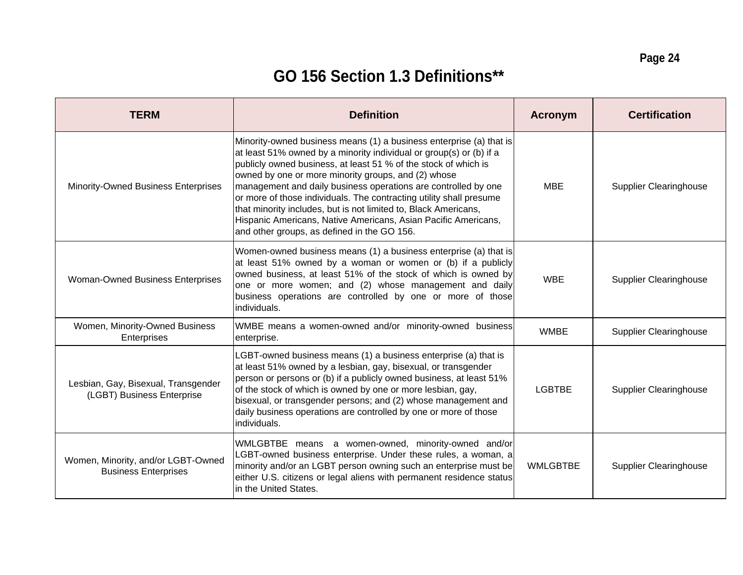# **GO 156 Section 1.3 Definitions\*\***

| <b>TERM</b>                                                       | <b>Definition</b>                                                                                                                                                                                                                                                                                                                                                                                                                                                                                                                                                                                 | Acronym    | <b>Certification</b>          |
|-------------------------------------------------------------------|---------------------------------------------------------------------------------------------------------------------------------------------------------------------------------------------------------------------------------------------------------------------------------------------------------------------------------------------------------------------------------------------------------------------------------------------------------------------------------------------------------------------------------------------------------------------------------------------------|------------|-------------------------------|
| <b>Minority-Owned Business Enterprises</b>                        | Minority-owned business means (1) a business enterprise (a) that is<br>at least 51% owned by a minority individual or group(s) or (b) if a<br>publicly owned business, at least 51 % of the stock of which is<br>owned by one or more minority groups, and (2) whose<br>management and daily business operations are controlled by one<br>or more of those individuals. The contracting utility shall presume<br>that minority includes, but is not limited to, Black Americans,<br>Hispanic Americans, Native Americans, Asian Pacific Americans,<br>and other groups, as defined in the GO 156. | MBE        | <b>Supplier Clearinghouse</b> |
| <b>Woman-Owned Business Enterprises</b>                           | Women-owned business means (1) a business enterprise (a) that is<br>at least 51% owned by a woman or women or (b) if a publicly<br>owned business, at least 51% of the stock of which is owned by<br>one or more women; and (2) whose management and daily<br>business operations are controlled by one or more of those<br>individuals.                                                                                                                                                                                                                                                          | <b>WBE</b> | <b>Supplier Clearinghouse</b> |
| Women, Minority-Owned Business<br>Enterprises                     | WMBE means a women-owned and/or minority-owned business<br>enterprise                                                                                                                                                                                                                                                                                                                                                                                                                                                                                                                             | WMBE       | <b>Supplier Clearinghouse</b> |
| Lesbian, Gay, Bisexual, Transgender<br>(LGBT) Business Enterprise | LGBT-owned business means (1) a business enterprise (a) that is<br>at least 51% owned by a lesbian, gay, bisexual, or transgender<br>person or persons or (b) if a publicly owned business, at least 51%<br>of the stock of which is owned by one or more lesbian, gay,<br>$\vert$ bisexual, or transgender persons; and (2) whose management and $\vert$<br>daily business operations are controlled by one or more of those<br>individuals.                                                                                                                                                     | LGBTBE     | <b>Supplier Clearinghouse</b> |
| Women, Minority, and/or LGBT-Owned<br><b>Business Enterprises</b> | WMLGBTBE means a women-owned, minority-owned and/or<br>LGBT-owned business enterprise. Under these rules, a woman,<br> minority and/or an LGBT person owning such an enterprise must be   WMLGBTBE<br>either U.S. citizens or legal aliens with permanent residence status<br>in the United States.                                                                                                                                                                                                                                                                                               |            | <b>Supplier Clearinghouse</b> |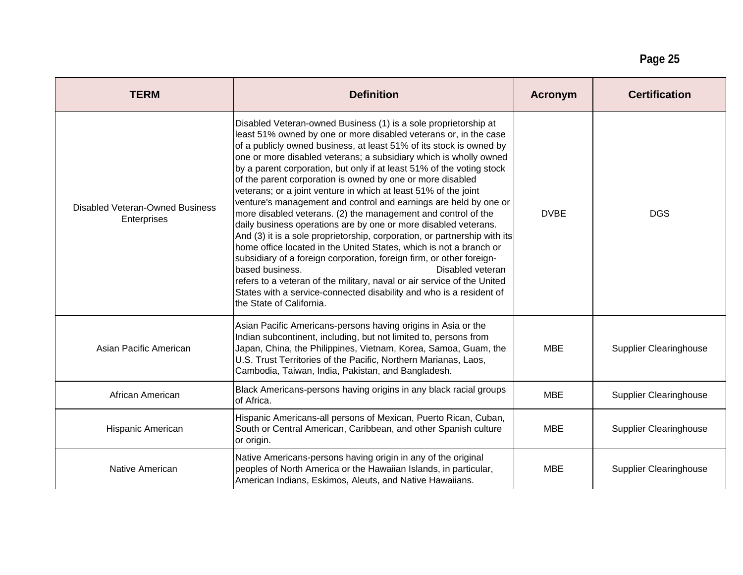## **Page 25**

| <b>TERM</b>                                           | <b>Definition</b>                                                                                                                                                                                                                                                                                                                                                                                                                                                                                                                                                                                                                                                                                                                                                                                                                                                                                                                                                                                                                                                                                                                                 | Acronym     | <b>Certification</b>          |
|-------------------------------------------------------|---------------------------------------------------------------------------------------------------------------------------------------------------------------------------------------------------------------------------------------------------------------------------------------------------------------------------------------------------------------------------------------------------------------------------------------------------------------------------------------------------------------------------------------------------------------------------------------------------------------------------------------------------------------------------------------------------------------------------------------------------------------------------------------------------------------------------------------------------------------------------------------------------------------------------------------------------------------------------------------------------------------------------------------------------------------------------------------------------------------------------------------------------|-------------|-------------------------------|
| <b>Disabled Veteran-Owned Business</b><br>Enterprises | Disabled Veteran-owned Business (1) is a sole proprietorship at<br>least 51% owned by one or more disabled veterans or, in the case<br>of a publicly owned business, at least 51% of its stock is owned by<br>one or more disabled veterans; a subsidiary which is wholly owned<br>by a parent corporation, but only if at least 51% of the voting stock<br>of the parent corporation is owned by one or more disabled<br>veterans; or a joint venture in which at least 51% of the joint<br>venture's management and control and earnings are held by one or<br>more disabled veterans. (2) the management and control of the<br>daily business operations are by one or more disabled veterans.<br>And (3) it is a sole proprietorship, corporation, or partnership with its<br>home office located in the United States, which is not a branch or<br>subsidiary of a foreign corporation, foreign firm, or other foreign-<br>Disabled veteran<br>based business.<br>refers to a veteran of the military, naval or air service of the United<br>States with a service-connected disability and who is a resident of<br>the State of California. | <b>DVBE</b> | <b>DGS</b>                    |
| Asian Pacific American                                | Asian Pacific Americans-persons having origins in Asia or the<br>Indian subcontinent, including, but not limited to, persons from<br>Japan, China, the Philippines, Vietnam, Korea, Samoa, Guam, the<br>U.S. Trust Territories of the Pacific, Northern Marianas, Laos,<br>Cambodia, Taiwan, India, Pakistan, and Bangladesh.                                                                                                                                                                                                                                                                                                                                                                                                                                                                                                                                                                                                                                                                                                                                                                                                                     | MBE         | <b>Supplier Clearinghouse</b> |
| African American                                      | Black Americans-persons having origins in any black racial groups<br>of Africa.                                                                                                                                                                                                                                                                                                                                                                                                                                                                                                                                                                                                                                                                                                                                                                                                                                                                                                                                                                                                                                                                   | <b>MBE</b>  | <b>Supplier Clearinghouse</b> |
| Hispanic American                                     | Hispanic Americans-all persons of Mexican, Puerto Rican, Cuban,<br>South or Central American, Caribbean, and other Spanish culture<br>or origin.                                                                                                                                                                                                                                                                                                                                                                                                                                                                                                                                                                                                                                                                                                                                                                                                                                                                                                                                                                                                  | MBE         | <b>Supplier Clearinghouse</b> |
| Native American                                       | Native Americans-persons having origin in any of the original<br>peoples of North America or the Hawaiian Islands, in particular,<br>American Indians, Eskimos, Aleuts, and Native Hawaiians.                                                                                                                                                                                                                                                                                                                                                                                                                                                                                                                                                                                                                                                                                                                                                                                                                                                                                                                                                     | <b>MBE</b>  | <b>Supplier Clearinghouse</b> |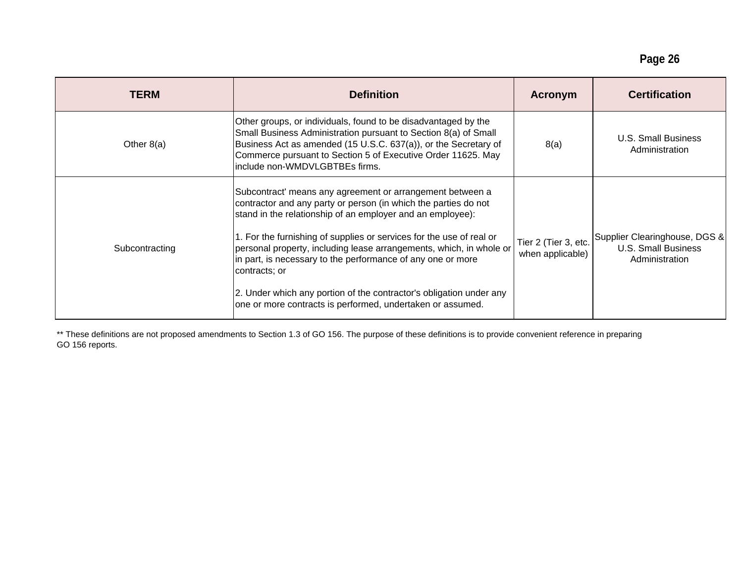| <b>TERM</b>    | <b>Definition</b>                                                                                                                                                                                                                                                                                                                                                                                                                                                                                                                                                                 | Acronym | <b>Certification</b>                  |
|----------------|-----------------------------------------------------------------------------------------------------------------------------------------------------------------------------------------------------------------------------------------------------------------------------------------------------------------------------------------------------------------------------------------------------------------------------------------------------------------------------------------------------------------------------------------------------------------------------------|---------|---------------------------------------|
| Other 8(a)     | Other groups, or individuals, found to be disadvantaged by the<br>Small Business Administration pursuant to Section 8(a) of Small<br>Business Act as amended (15 U.S.C. 637(a)), or the Secretary of<br>Commerce pursuant to Section 5 of Executive Order 11625. May<br>include non-WMDVLGBTBEs firms.                                                                                                                                                                                                                                                                            | 8(a)    | U.S. Small Business<br>Administration |
| Subcontracting | Subcontract' means any agreement or arrangement between a<br>contractor and any party or person (in which the parties do not<br>stand in the relationship of an employer and an employee):<br>personal property, including lease arrangements, which, in whole or Tier 2 (Tier 3, etc. Supplier Clearinghouse, DGS & Dasner Clearinghouse, DGS & Dasner Clearinghouse arrangements, which, in whole or Tier 2 (Tier 3, etc.<br>contracts; or<br>2. Under which any portion of the contractor's obligation under any<br>one or more contracts is performed, undertaken or assumed. |         |                                       |

\*\* These definitions are not proposed amendments to Section 1.3 of GO 156. The purpose of these definitions is to provide convenient reference in preparing GO 156 reports.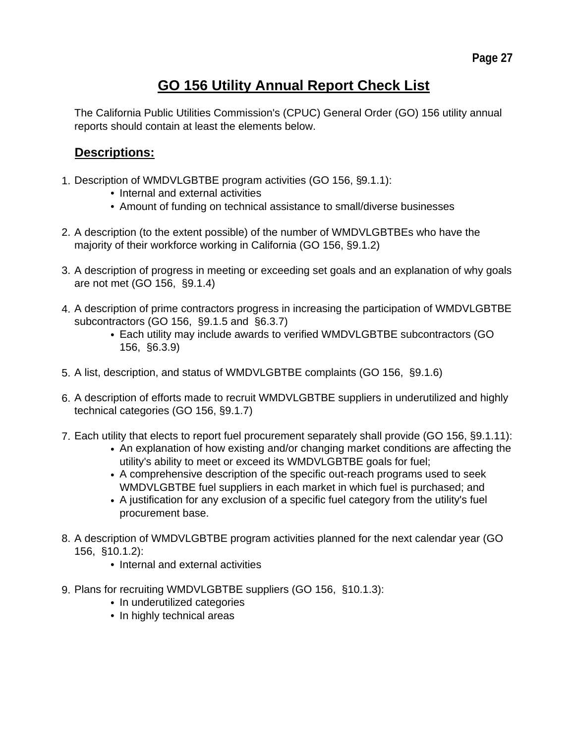# **GO 156 Utility Annual Report Check List**

The California Public Utilities Commission's (CPUC) General Order (GO) 156 utility annual reports should contain at least the elements below.

# **Descriptions:**

- 1. Description of WMDVLGBTBE program activities (GO 156, §9.1.1):
	- Internal and external activities
	- Amount of funding on technical assistance to small/diverse businesses
- 2. A description (to the extent possible) of the number of WMDVLGBTBEs who have the majority of their workforce working in California (GO 156, §9.1.2)
- 3. A description of progress in meeting or exceeding set goals and an explanation of why goals are not met (GO 156, §9.1.4)
- 4. A description of prime contractors progress in increasing the participation of WMDVLGBTBE subcontractors (GO 156, §9.1.5 and §6.3.7)
	- Each utility may include awards to verified WMDVLGBTBE subcontractors (GO 156, §6.3.9)
- 5. A list, description, and status of WMDVLGBTBE complaints (GO 156, §9.1.6)
- 6. A description of efforts made to recruit WMDVLGBTBE suppliers in underutilized and highly technical categories (GO 156, §9.1.7)
- 7. Each utility that elects to report fuel procurement separately shall provide (GO 156, §9.1.11):
	- An explanation of how existing and/or changing market conditions are affecting the utility's ability to meet or exceed its WMDVLGBTBE goals for fuel;
	- A comprehensive description of the specific out-reach programs used to seek WMDVLGBTBE fuel suppliers in each market in which fuel is purchased; and
	- A justification for any exclusion of a specific fuel category from the utility's fuel procurement base.
- 8. A description of WMDVLGBTBE program activities planned for the next calendar year (GO 156, §10.1.2):
	- Internal and external activities
- 9. Plans for recruiting WMDVLGBTBE suppliers (GO 156, §10.1.3):
	- In underutilized categories
	- In highly technical areas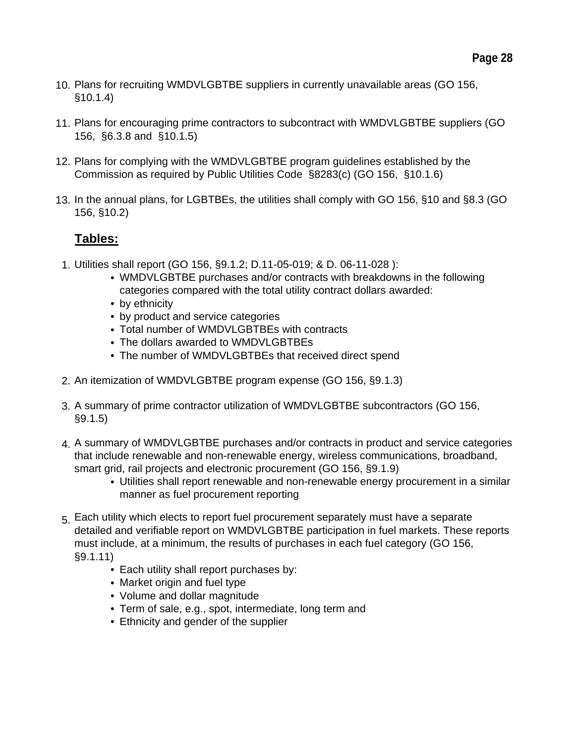- 10. Plans for recruiting WMDVLGBTBE suppliers in currently unavailable areas (GO 156,  $\S10.1.4)$
- 11. Plans for encouraging prime contractors to subcontract with WMDVLGBTBE suppliers (GO 156, §6.3.8 and §10.1.5)
- 12. Plans for complying with the WMDVLGBTBE program guidelines established by the Commission as required by Public Utilities Code §8283(c) (GO 156, §10.1.6)
- 13. In the annual plans, for LGBTBEs, the utilities shall comply with GO 156, §10 and §8.3 (GO 156, §10.2)

# **Tables:**

- 1. Utilities shall report (GO 156, §9.1.2; D.11-05-019; & D. 06-11-028 ):
	- WMDVLGBTBE purchases and/or contracts with breakdowns in the following categories compared with the total utility contract dollars awarded:
	- by ethnicity
	- by product and service categories
	- Total number of WMDVLGBTBEs with contracts
	- The dollars awarded to WMDVLGBTBEs
	- The number of WMDVLGBTBEs that received direct spend
- 2. An itemization of WMDVLGBTBE program expense (GO 156, §9.1.3)
- 3. A summary of prime contractor utilization of WMDVLGBTBE subcontractors (GO 156, §9.1.5)
- 4. A summary of WMDVLGBTBE purchases and/or contracts in product and service categories that include renewable and non-renewable energy, wireless communications, broadband, smart grid, rail projects and electronic procurement (GO 156, §9.1.9)
	- Utilities shall report renewable and non-renewable energy procurement in a similar manner as fuel procurement reporting
- 5. Each utility which elects to report fuel procurement separately must have a separate detailed and verifiable report on WMDVLGBTBE participation in fuel markets. These reports must include, at a minimum, the results of purchases in each fuel category (GO 156,  $\S9.1.11)$ 
	- Each utility shall report purchases by:
	- Market origin and fuel type
	- Volume and dollar magnitude
	- Term of sale, e.g., spot, intermediate, long term and
	- Ethnicity and gender of the supplier